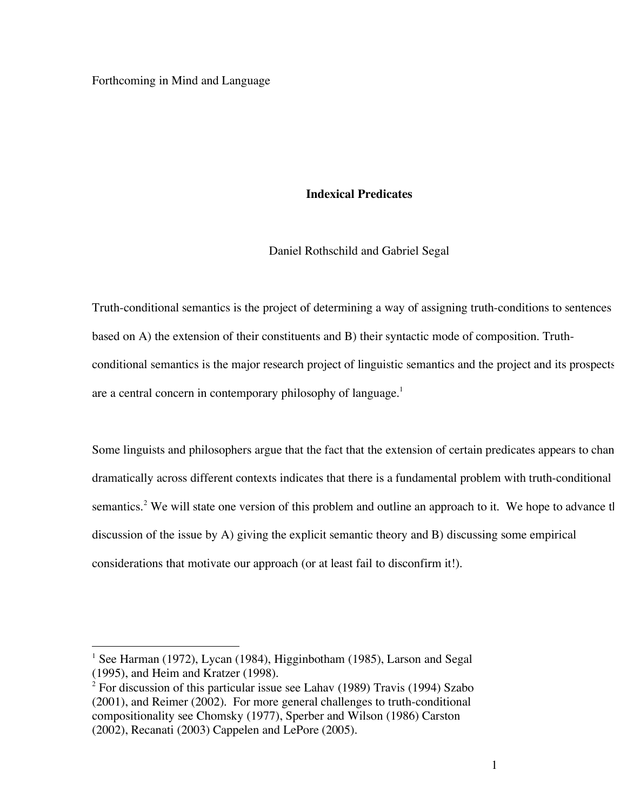#### Forthcoming in Mind and Language

### **Indexical Predicates**

Daniel Rothschild and Gabriel Segal

Truth-conditional semantics is the project of determining a way of assigning truth-conditions to sentences based on A) the extension of their constituents and B) their syntactic mode of composition. Truthconditional semantics is the major research project of linguistic semantics and the project and its prospects are a central concern in contemporary philosophy of language.<sup>1</sup>

Some linguists and philosophers argue that the fact that the extension of certain predicates appears to chan dramatically across different contexts indicates that there is a fundamental problem with truth-conditional semantics.<sup>2</sup> We will state one version of this problem and outline an approach to it. We hope to advance tl discussion of the issue by A) giving the explicit semantic theory and B) discussing some empirical considerations that motivate our approach (or at least fail to disconfirm it!).

<sup>&</sup>lt;sup>1</sup> See Harman (1972), Lycan (1984), Higginbotham (1985), Larson and Segal (1995), and Heim and Kratzer (1998).

 $2$  For discussion of this particular issue see Lahav (1989) Travis (1994) Szabo (2001), and Reimer (2002). For more general challenges to truth-conditional compositionality see Chomsky (1977), Sperber and Wilson (1986) Carston (2002), Recanati (2003) Cappelen and LePore (2005).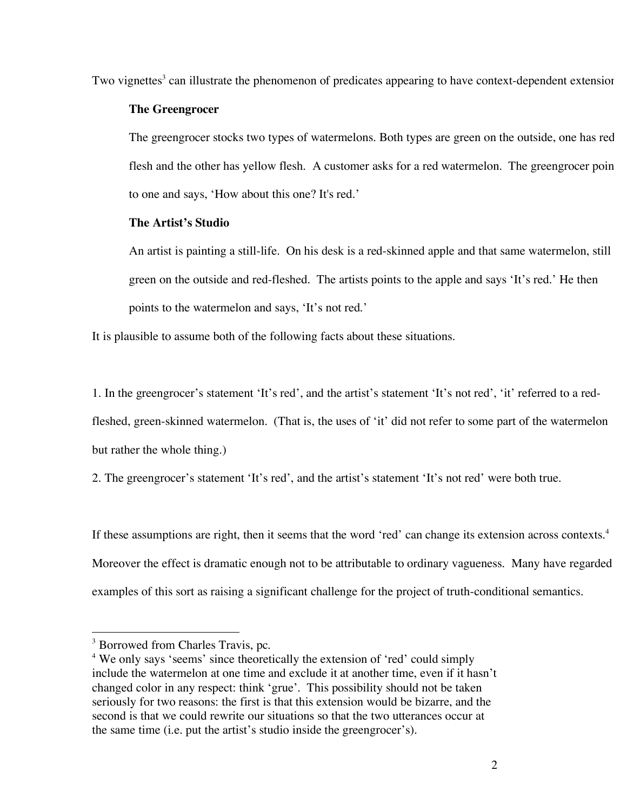Two vignettes<sup>3</sup> can illustrate the phenomenon of predicates appearing to have context-dependent extensior

## **The Greengrocer**

The greengrocer stocks two types of watermelons. Both types are green on the outside, one has red flesh and the other has yellow flesh. A customer asks for a red watermelon. The greengrocer poin to one and says, 'How about this one? It's red.'

## **The Artist's Studio**

An artist is painting a still-life. On his desk is a red-skinned apple and that same watermelon, still green on the outside and red-fleshed. The artists points to the apple and says 'It's red.' He then points to the watermelon and says, 'It's not red.'

It is plausible to assume both of the following facts about these situations.

1. In the greengrocer's statement 'It's red', and the artist's statement 'It's not red', 'it' referred to a red-

fleshed, green-skinned watermelon. (That is, the uses of 'it' did not refer to some part of the watermelon but rather the whole thing.)

2. The greengrocer's statement 'It's red', and the artist's statement 'It's not red' were both true.

If these assumptions are right, then it seems that the word 'red' can change its extension across contexts.<sup>4</sup> Moreover the effect is dramatic enough not to be attributable to ordinary vagueness. Many have regarded examples of this sort as raising a significant challenge for the project of truth-conditional semantics.

<sup>&</sup>lt;sup>3</sup> Borrowed from Charles Travis, pc.

<sup>&</sup>lt;sup>4</sup> We only says 'seems' since theoretically the extension of 'red' could simply include the watermelon at one time and exclude it at another time, even if it hasn't changed color in any respect: think 'grue'. This possibility should not be taken seriously for two reasons: the first is that this extension would be bizarre, and the second is that we could rewrite our situations so that the two utterances occur at the same time (i.e. put the artist's studio inside the greengrocer's).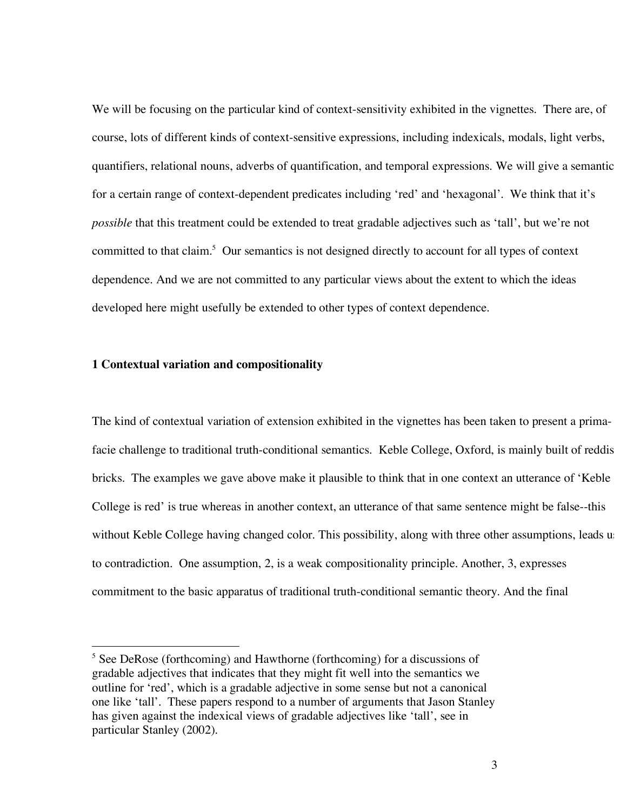We will be focusing on the particular kind of context-sensitivity exhibited in the vignettes. There are, of course, lots of different kinds of context-sensitive expressions, including indexicals, modals, light verbs, quantifiers, relational nouns, adverbs of quantification, and temporal expressions. We will give a semantic for a certain range of context-dependent predicates including 'red' and 'hexagonal'. We think that it's *possible* that this treatment could be extended to treat gradable adjectives such as 'tall', but we're not committed to that claim. <sup>5</sup> Our semantics is not designed directly to account for all types of context dependence. And we are not committed to any particular views about the extent to which the ideas developed here might usefully be extended to other types of context dependence.

### **1 Contextual variation and compositionality**

The kind of contextual variation of extension exhibited in the vignettes has been taken to present a primafacie challenge to traditional truth-conditional semantics. Keble College, Oxford, is mainly built of reddis bricks. The examples we gave above make it plausible to think that in one context an utterance of 'Keble College is red' is true whereas in another context, an utterance of that same sentence might be false--this without Keble College having changed color. This possibility, along with three other assumptions, leads us to contradiction. One assumption, 2, is a weak compositionality principle. Another, 3, expresses commitment to the basic apparatus of traditional truth-conditional semantic theory. And the final

<sup>&</sup>lt;sup>5</sup> See DeRose (forthcoming) and Hawthorne (forthcoming) for a discussions of gradable adjectives that indicates that they might fit well into the semantics we outline for 'red', which is a gradable adjective in some sense but not a canonical one like 'tall'. These papers respond to a number of arguments that Jason Stanley has given against the indexical views of gradable adjectives like 'tall', see in particular Stanley (2002).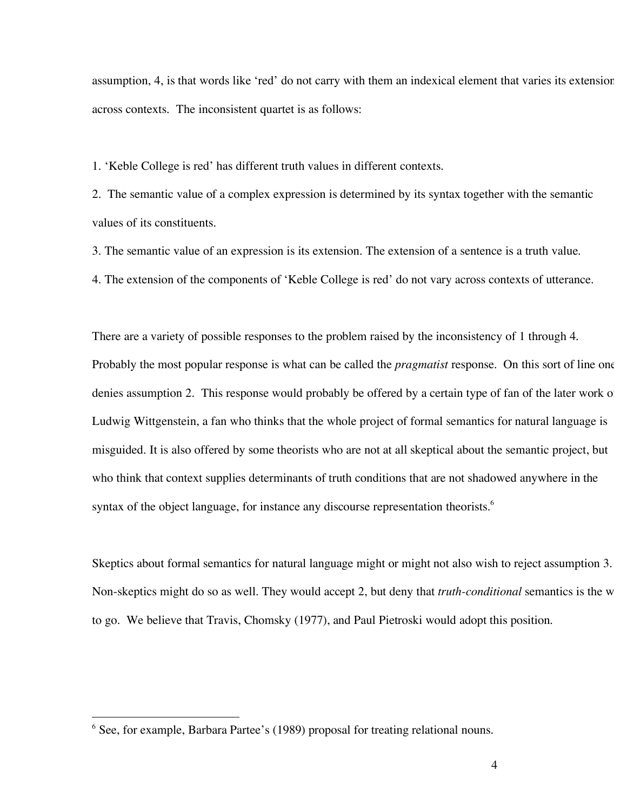assumption, 4, is that words like 'red' do not carry with them an indexical element that varies its extension across contexts. The inconsistent quartet is as follows:

1. 'Keble College is red' has different truth values in different contexts.

2. The semantic value of a complex expression is determined by its syntax together with the semantic values of its constituents.

3. The semantic value of an expression is its extension. The extension of a sentence is a truth value.

4. The extension of the components of 'Keble College is red' do not vary across contexts of utterance.

There are a variety of possible responses to the problem raised by the inconsistency of 1 through 4. Probably the most popular response is what can be called the *pragmatist* response. On this sort of line one denies assumption 2. This response would probably be offered by a certain type of fan of the later work of Ludwig Wittgenstein, a fan who thinks that the whole project of formal semantics for natural language is misguided. It is also offered by some theorists who are not at all skeptical about the semantic project, but who think that context supplies determinants of truth conditions that are not shadowed anywhere in the syntax of the object language, for instance any discourse representation theorists.<sup>6</sup>

Skeptics about formal semantics for natural language might or might not also wish to reject assumption 3. Non-skeptics might do so as well. They would accept 2, but deny that *truth-conditional* semantics is the w to go. We believe that Travis, Chomsky (1977), and Paul Pietroski would adopt this position.

<sup>&</sup>lt;sup>6</sup> See, for example, Barbara Partee's (1989) proposal for treating relational nouns.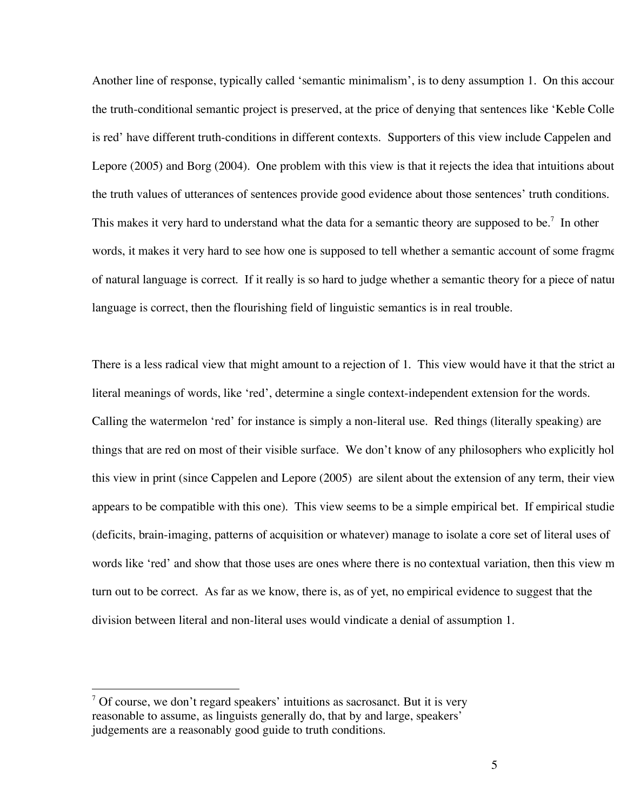Another line of response, typically called 'semantic minimalism', is to deny assumption 1. On this account the truth-conditional semantic project is preserved, at the price of denying that sentences like 'Keble College is red' have different truth-conditions in different contexts. Supporters of this view include Cappelen and Lepore (2005) and Borg (2004). One problem with this view is that it rejects the idea that intuitions about the truth values of utterances of sentences provide good evidence about those sentences' truth conditions. This makes it very hard to understand what the data for a semantic theory are supposed to be.<sup>7</sup> In other words, it makes it very hard to see how one is supposed to tell whether a semantic account of some fragment of natural language is correct. If it really is so hard to judge whether a semantic theory for a piece of natur language is correct, then the flourishing field of linguistic semantics is in real trouble.

There is a less radical view that might amount to a rejection of 1. This view would have it that the strict and literal meanings of words, like 'red', determine a single context-independent extension for the words. Calling the watermelon 'red' for instance is simply a non-literal use. Red things (literally speaking) are things that are red on most of their visible surface. We don't know of any philosophers who explicitly hol this view in print (since Cappelen and Lepore (2005) are silent about the extension of any term, their view appears to be compatible with this one). This view seems to be a simple empirical bet. If empirical studie (deficits, brain-imaging, patterns of acquisition or whatever) manage to isolate a core set of literal uses of words like 'red' and show that those uses are ones where there is no contextual variation, then this view m turn out to be correct. As far as we know, there is, as of yet, no empirical evidence to suggest that the division between literal and non-literal uses would vindicate a denial of assumption 1.

 $7$  Of course, we don't regard speakers' intuitions as sacrosanct. But it is very reasonable to assume, as linguists generally do, that by and large, speakers' judgements are a reasonably good guide to truth conditions.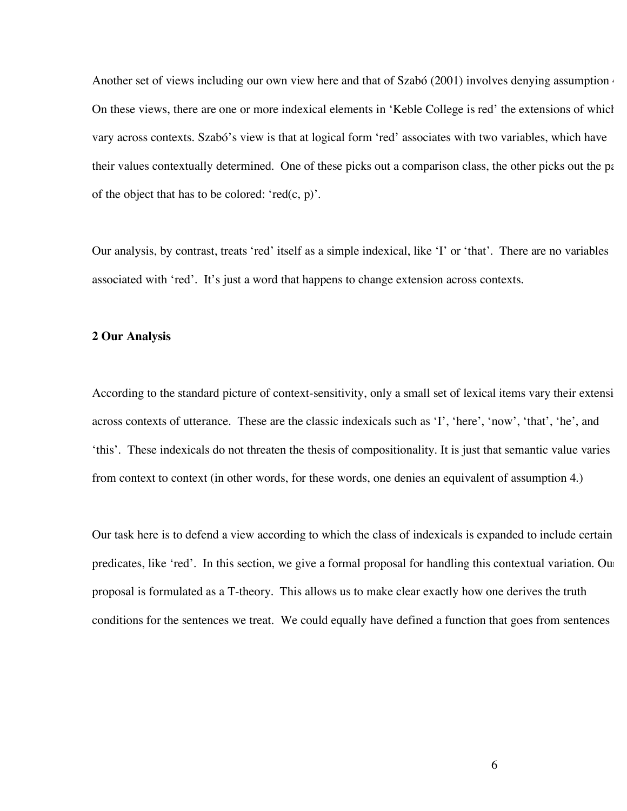Another set of views including our own view here and that of Szabó (2001) involves denying assumption  $\epsilon$ On these views, there are one or more indexical elements in 'Keble College is red' the extensions of which vary across contexts. Szabó's view is that at logical form 'red' associates with two variables, which have their values contextually determined. One of these picks out a comparison class, the other picks out the parties of the object that has to be colored: ' $red(c, p)$ '.

Our analysis, by contrast, treats 'red' itself as a simple indexical, like 'I' or 'that'. There are no variables associated with 'red'. It's just a word that happens to change extension across contexts.

### **2 Our Analysis**

According to the standard picture of context-sensitivity, only a small set of lexical items vary their extensi across contexts of utterance. These are the classic indexicals such as 'I', 'here', 'now', 'that', 'he', and 'this'. These indexicals do not threaten the thesis of compositionality. It is just that semantic value varies from context to context (in other words, for these words, one denies an equivalent of assumption 4.)

Our task here is to defend a view according to which the class of indexicals is expanded to include certain predicates, like 'red'. In this section, we give a formal proposal for handling this contextual variation. Our proposal is formulated as a T-theory. This allows us to make clear exactly how one derives the truth conditions for the sentences we treat. We could equally have defined a function that goes from sentences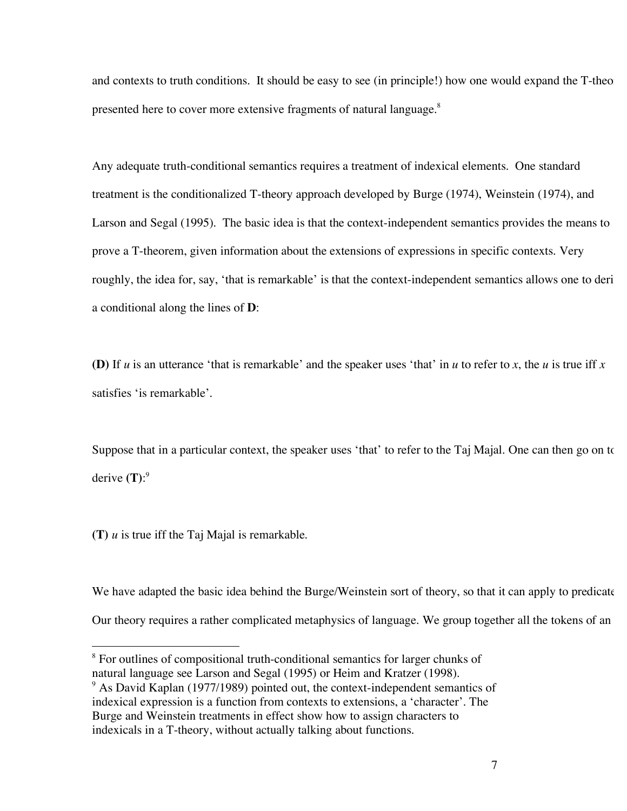and contexts to truth conditions. It should be easy to see (in principle!) how one would expand the T-theory presented here to cover more extensive fragments of natural language.<sup>8</sup>

Any adequate truth-conditional semantics requires a treatment of indexical elements. One standard treatment is the conditionalized T-theory approach developed by Burge (1974), Weinstein (1974), and Larson and Segal (1995). The basic idea is that the context-independent semantics provides the means to prove a T-theorem, given information about the extensions of expressions in specific contexts. Very roughly, the idea for, say, 'that is remarkable' is that the context-independent semantics allows one to deria conditional along the lines of **D**:

**(D)** If *u* is an utterance 'that is remarkable' and the speaker uses 'that' in *u* to refer to *x*, the *u* is true iff *x* satisfies 'is remarkable'.

Suppose that in a particular context, the speaker uses 'that' to refer to the Taj Majal. One can then go on to derive **(T)**: 9

**(T)** *u* is true iff the Taj Majal is remarkable.

We have adapted the basic idea behind the Burge/Weinstein sort of theory, so that it can apply to predicate Our theory requires a rather complicated metaphysics of language. We group together all the tokens of an

<sup>&</sup>lt;sup>8</sup> For outlines of compositional truth-conditional semantics for larger chunks of natural language see Larson and Segal (1995) or Heim and Kratzer (1998).

<sup>&</sup>lt;sup>9</sup> As David Kaplan (1977/1989) pointed out, the context-independent semantics of indexical expression is a function from contexts to extensions, a 'character'. The Burge and Weinstein treatments in effect show how to assign characters to indexicals in a T-theory, without actually talking about functions.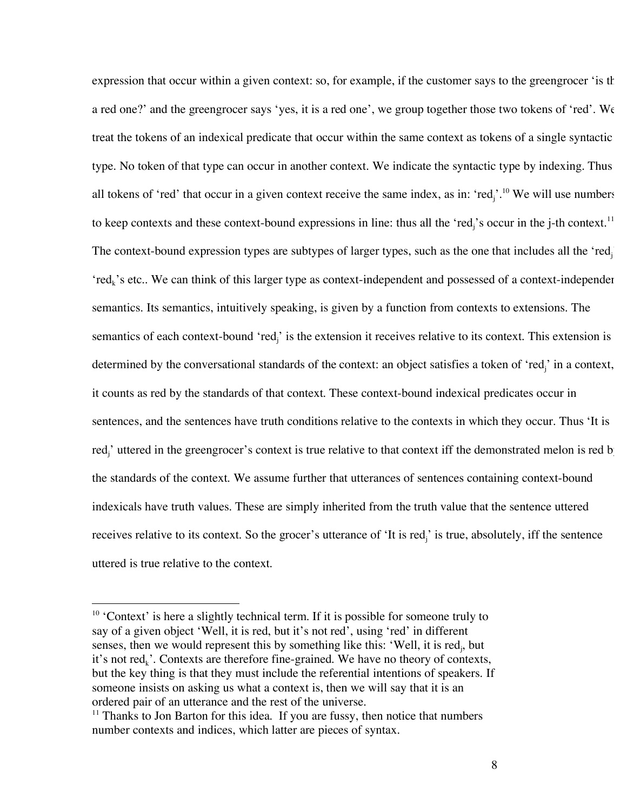expression that occur within a given context: so, for example, if the customer says to the greengrocer 'is th a red one?' and the greengrocer says 'yes, it is a red one', we group together those two tokens of 'red'. We treat the tokens of an indexical predicate that occur within the same context as tokens of a single syntactic type. No token of that type can occur in another context. We indicate the syntactic type by indexing. Thus all tokens of 'red' that occur in a given context receive the same index, as in: 'red<sub>j</sub>'.<sup>10</sup> We will use numbers to keep contexts and these context-bound expressions in line: thus all the 'red<sub>j</sub>'s occur in the j-th context.<sup>11</sup> The context-bound expression types are subtypes of larger types, such as the one that includes all the 'red<sub>j</sub> 'red<sub>k</sub>'s etc.. We can think of this larger type as context-independent and possessed of a context-independer semantics. Its semantics, intuitively speaking, is given by a function from contexts to extensions. The semantics of each context-bound 'red<sub>j</sub>' is the extension it receives relative to its context. This extension is determined by the conversational standards of the context: an object satisfies a token of 'red<sub>j</sub>' in a context, it counts as red by the standards of that context. These context-bound indexical predicates occur in sentences, and the sentences have truth conditions relative to the contexts in which they occur. Thus 'It is red<sub>j</sub>' uttered in the greengrocer's context is true relative to that context iff the demonstrated melon is red b the standards of the context. We assume further that utterances of sentences containing context-bound indexicals have truth values. These are simply inherited from the truth value that the sentence uttered receives relative to its context. So the grocer's utterance of 'It is red<sub>j</sub>' is true, absolutely, iff the sentence uttered is true relative to the context.

<sup>&</sup>lt;sup>10</sup> 'Context' is here a slightly technical term. If it is possible for someone truly to say of a given object 'Well, it is red, but it's not red', using 'red' in different senses, then we would represent this by something like this: 'Well, it is red<sub>j</sub>, but it's not red<sub>k</sub>'. Contexts are therefore fine-grained. We have no theory of contexts, but the key thing is that they must include the referential intentions of speakers. If someone insists on asking us what a context is, then we will say that it is an ordered pair of an utterance and the rest of the universe.

 $11$  Thanks to Jon Barton for this idea. If you are fussy, then notice that numbers number contexts and indices, which latter are pieces of syntax.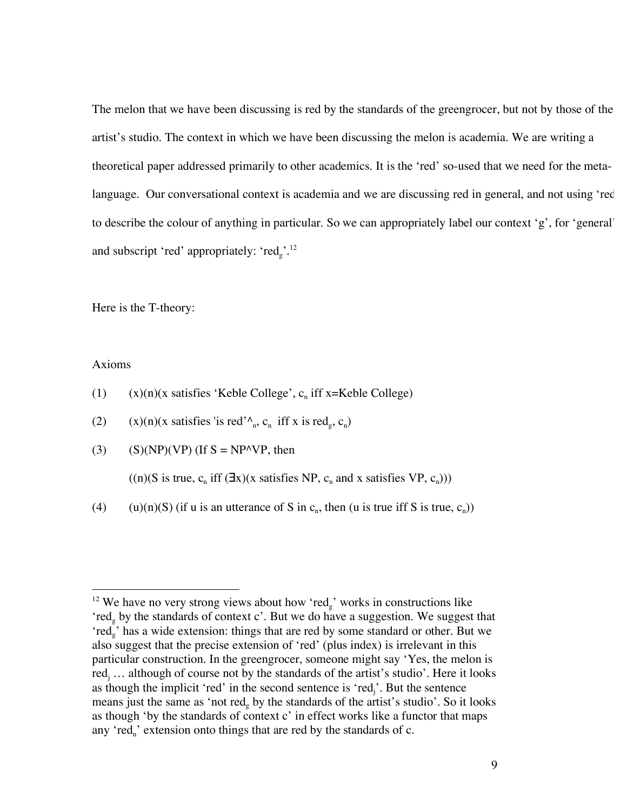The melon that we have been discussing is red by the standards of the greengrocer, but not by those of the artist's studio. The context in which we have been discussing the melon is academia. We are writing a theoretical paper addressed primarily to other academics. It is the 'red' so-used that we need for the metalanguage. Our conversational context is academia and we are discussing red in general, and not using 'red' to describe the colour of anything in particular. So we can appropriately label our context 'g', for 'general', and subscript 'red' appropriately: ' $\text{red}_g$ '.<sup>12</sup>

Here is the T-theory:

### Axioms

- (1)  $(x)(n)(x)$  satisfies 'Keble College', c<sub>n</sub> iff x=Keble College)
- (2) (x)(n)(x satisfies 'is red' $\wedge_n$ , c<sub>n</sub> iff x is red<sub>g</sub>, c<sub>n</sub>)
- (3) (S)(NP)(VP) (If  $S = NP^{\wedge}VP$ , then

 $((n)(S \text{ is true}, c_n \text{ iff } (\exists x)(x \text{ satisfies NP}, c_n \text{ and } x \text{ satisfies VP}, c_n)))$ 

(4) (u)(n)(S) (if u is an utterance of S in c<sub>n</sub>, then (u is true iff S is true, c<sub>n</sub>))

<sup>&</sup>lt;sup>12</sup> We have no very strong views about how 'red<sub>g</sub>' works in constructions like 'red<sub>g</sub> by the standards of context c'. But we do have a suggestion. We suggest that 'red<sub>g</sub>' has a wide extension: things that are red by some standard or other. But we also suggest that the precise extension of 'red' (plus index) is irrelevant in this particular construction. In the greengrocer, someone might say 'Yes, the melon is red<sub>i</sub> ... although of course not by the standards of the artist's studio'. Here it looks as though the implicit 'red' in the second sentence is 'red<sub>j</sub>'. But the sentence means just the same as 'not red<sub>g</sub> by the standards of the artist's studio'. So it looks as though 'by the standards of context c' in effect works like a functor that maps any 'red<sub>n</sub>' extension onto things that are red by the standards of c.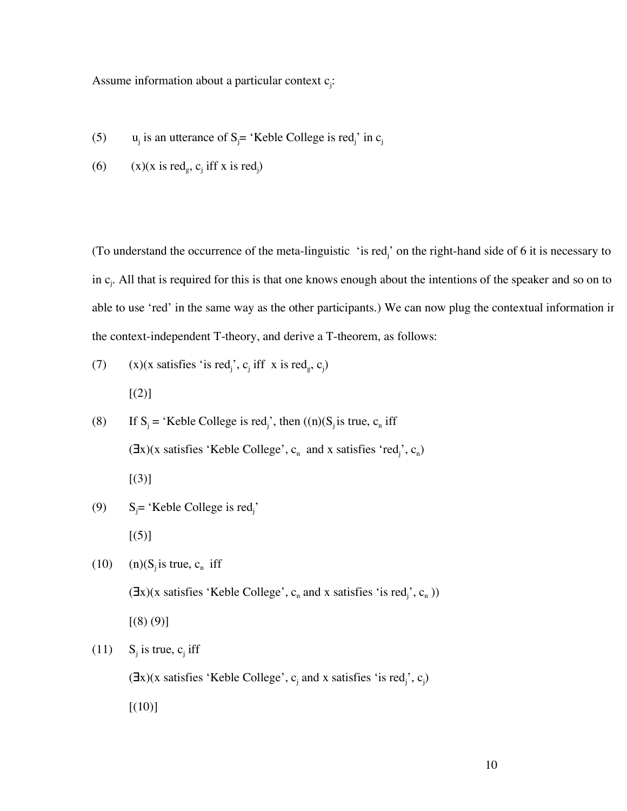Assume information about a particular context c<sub>j</sub>:

- (5)  $u_j$  is an utterance of S<sub>j</sub>= 'Keble College is red<sub>j</sub>' in c<sub>j</sub>
- (6) (x)(x is red<sub>g</sub>, c<sub>j</sub> iff x is red<sub>j</sub>)

(To understand the occurrence of the meta-linguistic 'is red<sub>j</sub>' on the right-hand side of 6 it is necessary to in  $c_j$ . All that is required for this is that one knows enough about the intentions of the speaker and so on to able to use 'red' in the same way as the other participants.) We can now plug the contextual information in the context-independent T-theory, and derive a T-theorem, as follows:

(7) 
$$
(x)(x \text{ satisfies 'is red}'_j, c_j \text{ iff } x \text{ is red}_g, c_j)
$$
  
[(2)]

(8) If  $S_j$  = 'Keble College is red<sub>j</sub>', then  $((n)(S_j \text{ is true}, c_n \text{ iff})$  $(\exists x)(x \text{ satisfies 'Keble College', } c_n \text{ and } x \text{ satisfies 'red'}; c_n)$  $[(3)]$ 

(9) 
$$
S_j
$$
= 'Keble College is red'<sub>j</sub>'  
[(5)]

(10) (n) $(S_j \text{ is true}, c_n \text{ iff})$  $(\exists x)(x \text{ satisfies 'Keble College', } c_n \text{ and } x \text{ satisfies 'is red}'_j, c_n))$  $[(8)(9)]$ 

(11) S<sub>i</sub> is true, c<sub>i</sub> iff

 $(\exists x)(x \text{ satisfies 'Keble College', } c_j \text{ and } x \text{ satisfies 'is red_j', } c_j)$ 

 $[(10)]$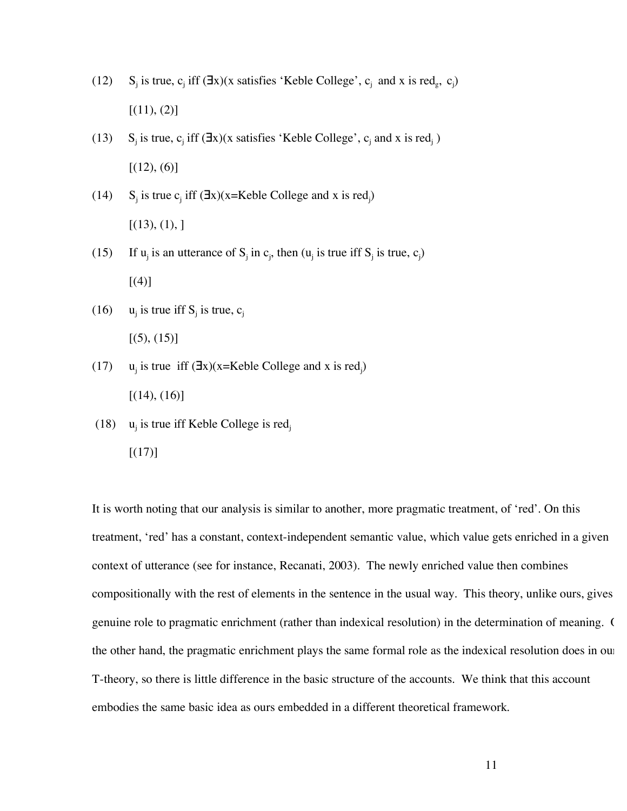- (12) S<sub>j</sub> is true, c<sub>j</sub> iff (∃x)(x satisfies 'Keble College', c<sub>j</sub> and x is red<sub>g</sub>, c<sub>j</sub>)  $[(11), (2)]$
- (13) S<sub>j</sub> is true, c<sub>j</sub> iff  $(\exists x)(x$  satisfies 'Keble College', c<sub>j</sub> and x is red<sub>j</sub>)  $[(12), (6)]$
- (14) S<sub>j</sub> is true c<sub>j</sub> iff  $(\exists x)(x=Keble College and x is red<sub>j</sub>)$  $[(13), (1),]$
- (15) If  $u_j$  is an utterance of  $S_j$  in  $c_j$ , then  $(u_j$  is true iff  $S_j$  is true,  $c_j$ ) [(4)]
- (16)  $u_j$  is true iff  $S_j$  is true,  $c_j$  $[(5), (15)]$
- (17) u<sub>j</sub> is true iff  $(\exists x)(x=Keble College and x is red<sub>j</sub>)$  $[(14), (16)]$
- (18)  $u_i$  is true iff Keble College is red<sub>i</sub>
	- $[(17)]$

It is worth noting that our analysis is similar to another, more pragmatic treatment, of 'red'. On this treatment, 'red' has a constant, context-independent semantic value, which value gets enriched in a given context of utterance (see for instance, Recanati, 2003). The newly enriched value then combines compositionally with the rest of elements in the sentence in the usual way. This theory, unlike ours, gives genuine role to pragmatic enrichment (rather than indexical resolution) in the determination of meaning. ( the other hand, the pragmatic enrichment plays the same formal role as the indexical resolution does in our T-theory, so there is little difference in the basic structure of the accounts. We think that this account embodies the same basic idea as ours embedded in a different theoretical framework.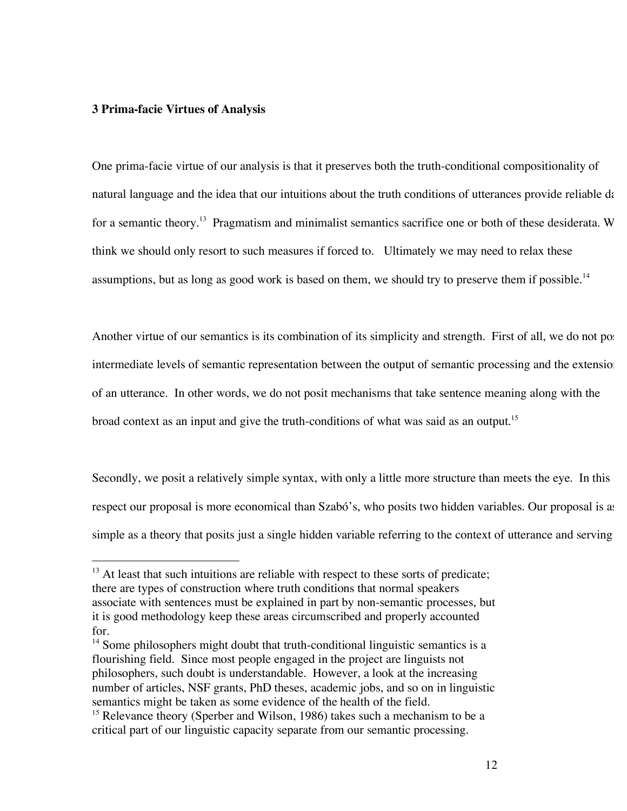## **3 Prima-facie Virtues of Analysis**

One prima-facie virtue of our analysis is that it preserves both the truth-conditional compositionality of natural language and the idea that our intuitions about the truth conditions of utterances provide reliable da for a semantic theory.<sup>13</sup> Pragmatism and minimalist semantics sacrifice one or both of these desiderata. W think we should only resort to such measures if forced to. Ultimately we may need to relax these assumptions, but as long as good work is based on them, we should try to preserve them if possible.<sup>14</sup>

Another virtue of our semantics is its combination of its simplicity and strength. First of all, we do not pos intermediate levels of semantic representation between the output of semantic processing and the extension of an utterance. In other words, we do not posit mechanisms that take sentence meaning along with the broad context as an input and give the truth-conditions of what was said as an output.<sup>15</sup>

Secondly, we posit a relatively simple syntax, with only a little more structure than meets the eye. In this respect our proposal is more economical than Szabó's, who posits two hidden variables. Our proposal is as simple as a theory that posits just a single hidden variable referring to the context of utterance and serving

<sup>&</sup>lt;sup>13</sup> At least that such intuitions are reliable with respect to these sorts of predicate; there are types of construction where truth conditions that normal speakers associate with sentences must be explained in part by non-semantic processes, but it is good methodology keep these areas circumscribed and properly accounted for.

 $14$  Some philosophers might doubt that truth-conditional linguistic semantics is a flourishing field. Since most people engaged in the project are linguists not philosophers, such doubt is understandable. However, a look at the increasing number of articles, NSF grants, PhD theses, academic jobs, and so on in linguistic semantics might be taken as some evidence of the health of the field.

<sup>&</sup>lt;sup>15</sup> Relevance theory (Sperber and Wilson, 1986) takes such a mechanism to be a critical part of our linguistic capacity separate from our semantic processing.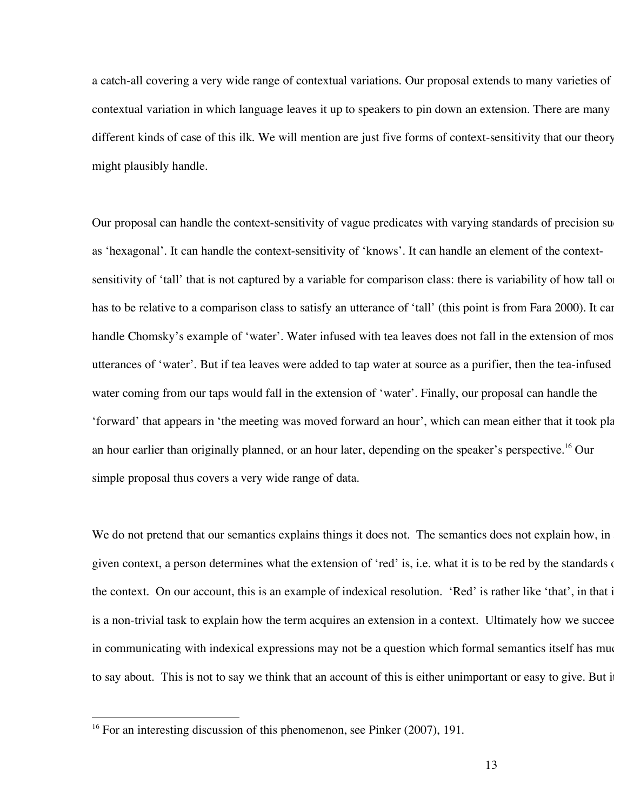a catch-all covering a very wide range of contextual variations. Our proposal extends to many varieties of contextual variation in which language leaves it up to speakers to pin down an extension. There are many different kinds of case of this ilk. We will mention are just five forms of context-sensitivity that our theory might plausibly handle.

Our proposal can handle the context-sensitivity of vague predicates with varying standards of precision such as 'hexagonal'. It can handle the context-sensitivity of 'knows'. It can handle an element of the contextsensitivity of 'tall' that is not captured by a variable for comparison class: there is variability of how tall on has to be relative to a comparison class to satisfy an utterance of 'tall' (this point is from Fara 2000). It can handle Chomsky's example of 'water'. Water infused with tea leaves does not fall in the extension of mos utterances of 'water'. But if tea leaves were added to tap water at source as a purifier, then the tea-infused water coming from our taps would fall in the extension of 'water'. Finally, our proposal can handle the 'forward' that appears in 'the meeting was moved forward an hour', which can mean either that it took place an hour earlier than originally planned, or an hour later, depending on the speaker's perspective. <sup>16</sup> Our simple proposal thus covers a very wide range of data.

We do not pretend that our semantics explains things it does not. The semantics does not explain how, in given context, a person determines what the extension of 'red' is, i.e. what it is to be red by the standards of the context. On our account, this is an example of indexical resolution. 'Red' is rather like 'that', in that i is a non-trivial task to explain how the term acquires an extension in a context. Ultimately how we succee in communicating with indexical expressions may not be a question which formal semantics itself has much to say about. This is not to say we think that an account of this is either unimportant or easy to give. But it

<sup>&</sup>lt;sup>16</sup> For an interesting discussion of this phenomenon, see Pinker (2007), 191.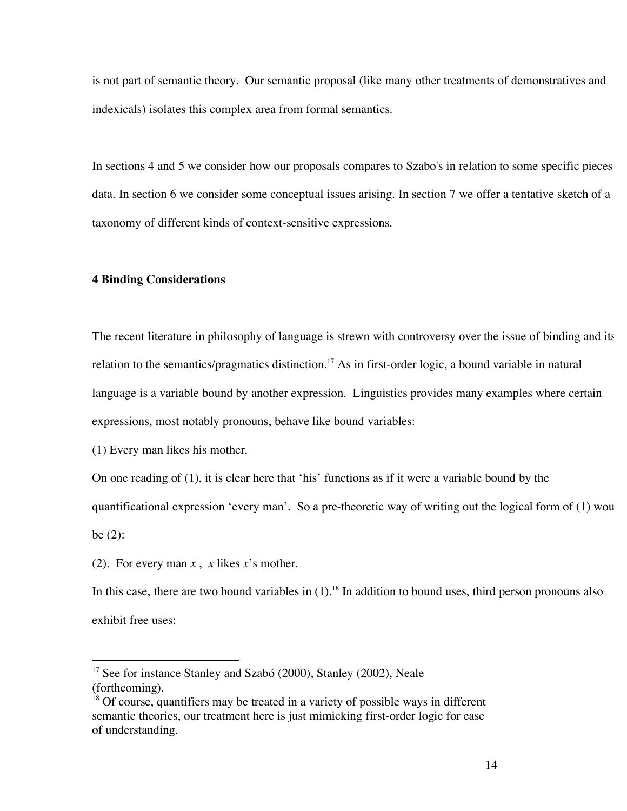is not part of semantic theory. Our semantic proposal (like many other treatments of demonstratives and indexicals) isolates this complex area from formal semantics.

In sections 4 and 5 we consider how our proposals compares to Szabo's in relation to some specific pieces data. In section 6 we consider some conceptual issues arising. In section 7 we offer a tentative sketch of a taxonomy of different kinds of context-sensitive expressions.

# **4 Binding Considerations**

The recent literature in philosophy of language is strewn with controversy over the issue of binding and its relation to the semantics/pragmatics distinction.<sup>17</sup> As in first-order logic, a bound variable in natural language is a variable bound by another expression. Linguistics provides many examples where certain expressions, most notably pronouns, behave like bound variables:

(1) Every man likes his mother.

On one reading of (1), it is clear here that 'his' functions as if it were a variable bound by the

quantificational expression 'every man'. So a pre-theoretic way of writing out the logical form of (1) wou be (2):

(2). For every man *x* , *x* likes *x*'s mother.

In this case, there are two bound variables in (1).<sup>18</sup> In addition to bound uses, third person pronouns also exhibit free uses:

 $17$  See for instance Stanley and Szabó (2000), Stanley (2002), Neale (forthcoming).

<sup>&</sup>lt;sup>18</sup> Of course, quantifiers may be treated in a variety of possible ways in different semantic theories, our treatment here is just mimicking first-order logic for ease of understanding.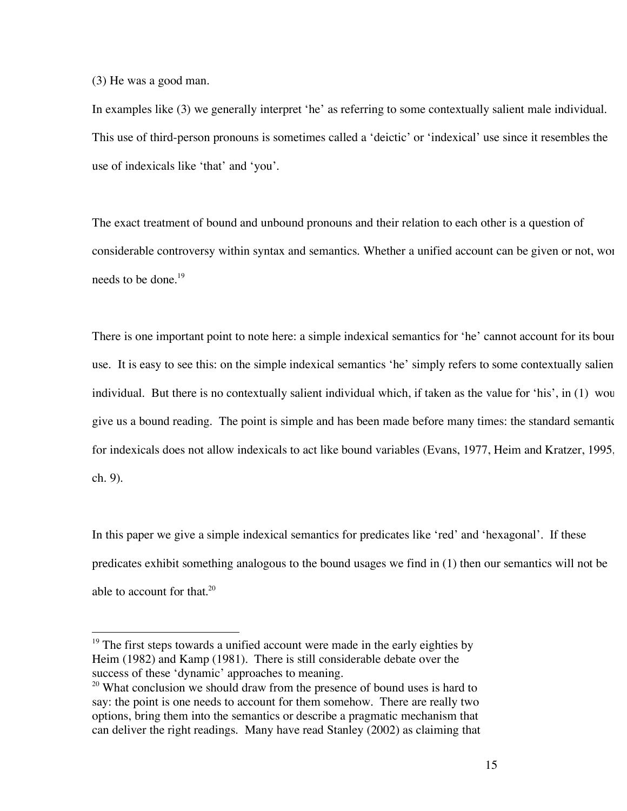(3) He was a good man.

In examples like (3) we generally interpret 'he' as referring to some contextually salient male individual. This use of third-person pronouns is sometimes called a 'deictic' or 'indexical' use since it resembles the use of indexicals like 'that' and 'you'.

The exact treatment of bound and unbound pronouns and their relation to each other is a question of considerable controversy within syntax and semantics. Whether a unified account can be given or not, wor needs to be done.<sup>19</sup>

There is one important point to note here: a simple indexical semantics for 'he' cannot account for its bour use. It is easy to see this: on the simple indexical semantics 'he' simply refers to some contextually salient individual. But there is no contextually salient individual which, if taken as the value for 'his', in (1) wou give us a bound reading. The point is simple and has been made before many times: the standard semantic for indexicals does not allow indexicals to act like bound variables (Evans, 1977, Heim and Kratzer, 1995, ch. 9).

In this paper we give a simple indexical semantics for predicates like 'red' and 'hexagonal'. If these predicates exhibit something analogous to the bound usages we find in (1) then our semantics will not be able to account for that. 20

<sup>&</sup>lt;sup>19</sup> The first steps towards a unified account were made in the early eighties by Heim (1982) and Kamp (1981). There is still considerable debate over the success of these 'dynamic' approaches to meaning.

<sup>&</sup>lt;sup>20</sup> What conclusion we should draw from the presence of bound uses is hard to say: the point is one needs to account for them somehow. There are really two options, bring them into the semantics or describe a pragmatic mechanism that can deliver the right readings. Many have read Stanley (2002) as claiming that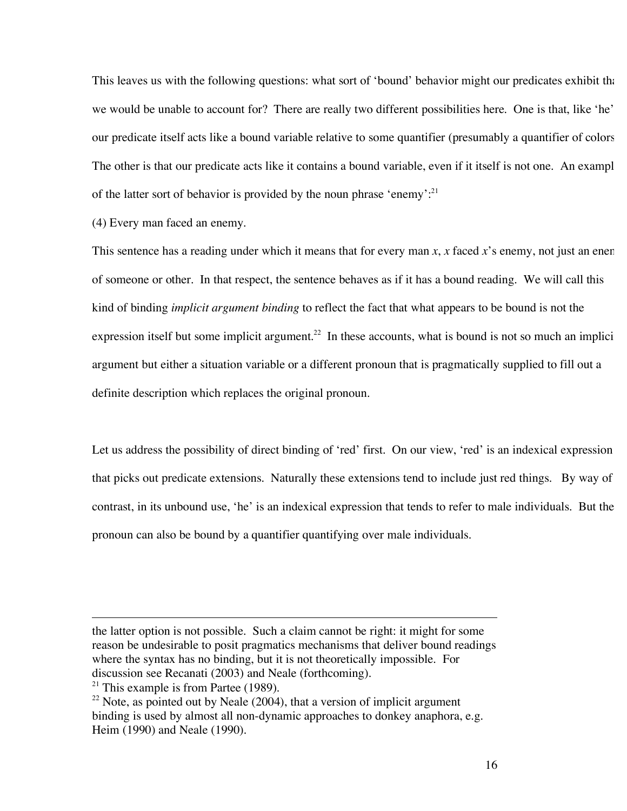This leaves us with the following questions: what sort of 'bound' behavior might our predicates exhibit that we would be unable to account for? There are really two different possibilities here. One is that, like 'he' our predicate itself acts like a bound variable relative to some quantifier (presumably a quantifier of colors). The other is that our predicate acts like it contains a bound variable, even if it itself is not one. An exampl of the latter sort of behavior is provided by the noun phrase 'enemy'.<sup>21</sup>

(4) Every man faced an enemy.

 $\overline{a}$ 

This sentence has a reading under which it means that for every man *x*, *x* faced *x*'s enemy, not just an enemy of someone or other. In that respect, the sentence behaves as if it has a bound reading. We will call this kind of binding *implicit argument binding* to reflect the fact that what appears to be bound is not the expression itself but some implicit argument.<sup>22</sup> In these accounts, what is bound is not so much an implicitionargument but either a situation variable or a different pronoun that is pragmatically supplied to fill out a definite description which replaces the original pronoun.

Let us address the possibility of direct binding of 'red' first. On our view, 'red' is an indexical expression that picks out predicate extensions. Naturally these extensions tend to include just red things. By way of contrast, in its unbound use, 'he' is an indexical expression that tends to refer to male individuals. But the pronoun can also be bound by a quantifier quantifying over male individuals.

the latter option is not possible. Such a claim cannot be right: it might for some reason be undesirable to posit pragmatics mechanisms that deliver bound readings where the syntax has no binding, but it is not theoretically impossible. For discussion see Recanati (2003) and Neale (forthcoming). <sup>21</sup> This example is from Partee  $(1989)$ .

<sup>&</sup>lt;sup>22</sup> Note, as pointed out by Neale  $(2004)$ , that a version of implicit argument binding is used by almost all non-dynamic approaches to donkey anaphora, e.g. Heim (1990) and Neale (1990).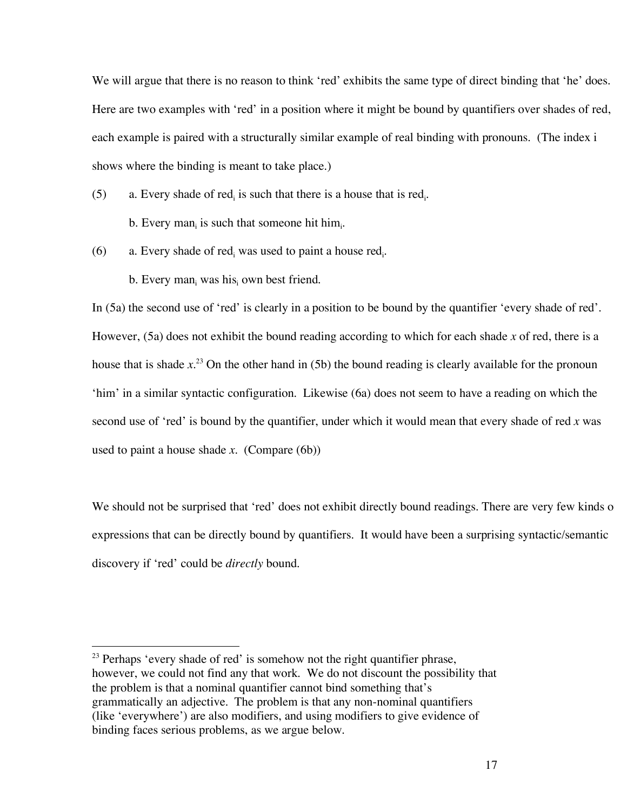We will argue that there is no reason to think 'red' exhibits the same type of direct binding that 'he' does. Here are two examples with 'red' in a position where it might be bound by quantifiers over shades of red, each example is paired with a structurally similar example of real binding with pronouns. (The index i shows where the binding is meant to take place.)

(5) a. Every shade of red<sub>i</sub> is such that there is a house that is red<sub>i</sub>.

b. Every man<sub>i</sub> is such that someone hit him<sub>i</sub>.

(6) a. Every shade of red<sub>i</sub> was used to paint a house red<sub>i</sub>.

b. Every man<sub>i</sub> was his own best friend.

In (5a) the second use of 'red' is clearly in a position to be bound by the quantifier 'every shade of red'. However, (5a) does not exhibit the bound reading according to which for each shade *x* of red, there is a house that is shade *x*. <sup>23</sup> On the other hand in (5b) the bound reading is clearly available for the pronoun 'him' in a similar syntactic configuration. Likewise (6a) does not seem to have a reading on which the second use of 'red' is bound by the quantifier, under which it would mean that every shade of red *x* was used to paint a house shade *x*. (Compare (6b))

We should not be surprised that 'red' does not exhibit directly bound readings. There are very few kinds of expressions that can be directly bound by quantifiers. It would have been a surprising syntactic/semantic discovery if 'red' could be *directly* bound.

 $23$  Perhaps 'every shade of red' is somehow not the right quantifier phrase, however, we could not find any that work. We do not discount the possibility that the problem is that a nominal quantifier cannot bind something that's grammatically an adjective. The problem is that any non-nominal quantifiers (like 'everywhere') are also modifiers, and using modifiers to give evidence of binding faces serious problems, as we argue below.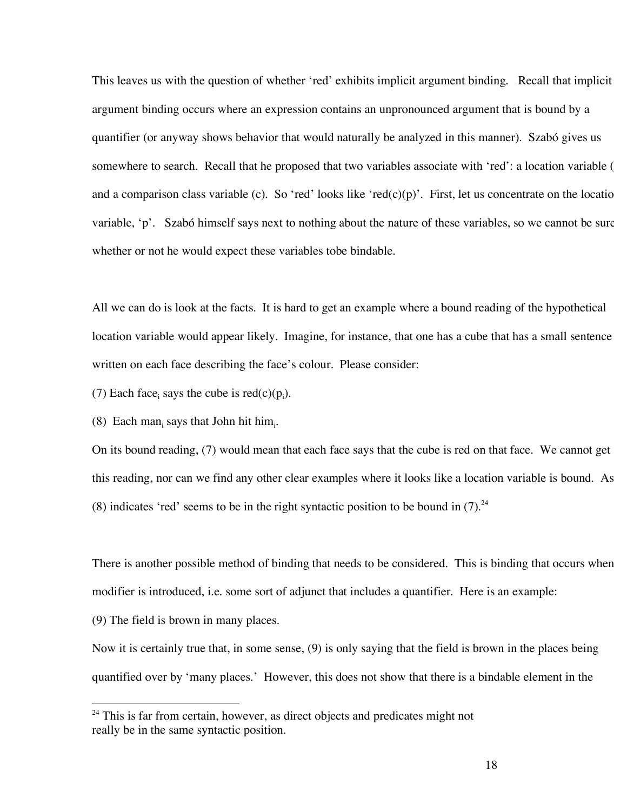This leaves us with the question of whether 'red' exhibits implicit argument binding. Recall that implicit argument binding occurs where an expression contains an unpronounced argument that is bound by a quantifier (or anyway shows behavior that would naturally be analyzed in this manner). Szabó gives us somewhere to search. Recall that he proposed that two variables associate with 'red': a location variable ( and a comparison class variable (c). So 'red' looks like 'red(c)(p)'. First, let us concentrate on the locatio variable, 'p'. Szabó himself says next to nothing about the nature of these variables, so we cannot be sure whether or not he would expect these variables tobe bindable.

All we can do is look at the facts. It is hard to get an example where a bound reading of the hypothetical location variable would appear likely. Imagine, for instance, that one has a cube that has a small sentence written on each face describing the face's colour. Please consider:

(7) Each face, says the cube is  $red(c)(p_i)$ .

(8) Each man<sub>i</sub> says that John hit him.

On its bound reading, (7) would mean that each face says that the cube is red on that face. We cannot get this reading, nor can we find any other clear examples where it looks like a location variable is bound. As (8) indicates 'red' seems to be in the right syntactic position to be bound in  $(7).^{24}$ 

There is another possible method of binding that needs to be considered. This is binding that occurs when a modifier is introduced, i.e. some sort of adjunct that includes a quantifier. Here is an example:

(9) The field is brown in many places.

Now it is certainly true that, in some sense, (9) is only saying that the field is brown in the places being quantified over by 'many places.' However, this does not show that there is a bindable element in the

<sup>&</sup>lt;sup>24</sup> This is far from certain, however, as direct objects and predicates might not really be in the same syntactic position.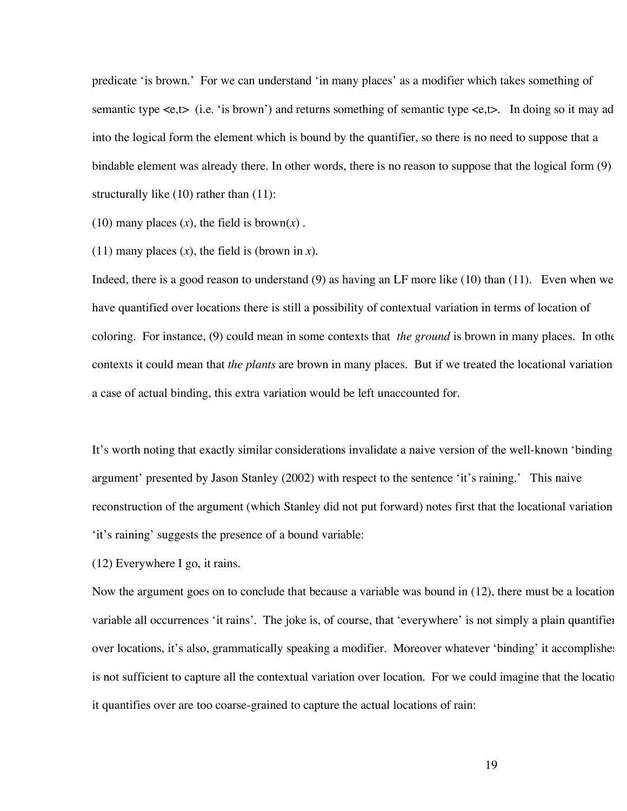predicate 'is brown.' For we can understand 'in many places' as a modifier which takes something of semantic type  $\langle e, t \rangle$  (i.e. 'is brown') and returns something of semantic type  $\langle e, t \rangle$ . In doing so it may ad into the logical form the element which is bound by the quantifier, so there is no need to suppose that a bindable element was already there. In other words, there is no reason to suppose that the logical form  $(9)$ structurally like (10) rather than (11):

(10) many places  $(x)$ , the field is brown $(x)$ .

 $(11)$  many places  $(x)$ , the field is (brown in *x*).

Indeed, there is a good reason to understand (9) as having an LF more like (10) than (11). Even when we have quantified over locations there is still a possibility of contextual variation in terms of location of coloring. For instance, (9) could mean in some contexts that *the ground* is brown in many places. In other contexts it could mean that *the plants* are brown in many places. But if we treated the locational variation a case of actual binding, this extra variation would be left unaccounted for.

It's worth noting that exactly similar considerations invalidate a naive version of the well-known 'binding argument' presented by Jason Stanley (2002) with respect to the sentence 'it's raining.' This naive reconstruction of the argument (which Stanley did not put forward) notes first that the locational variation 'it's raining' suggests the presence of a bound variable:

(12) Everywhere I go, it rains.

Now the argument goes on to conclude that because a variable was bound in  $(12)$ , there must be a location variable all occurrences 'it rains'. The joke is, of course, that 'everywhere' is not simply a plain quantifier over locations, it's also, grammatically speaking a modifier. Moreover whatever 'binding' it accomplishes is not sufficient to capture all the contextual variation over location. For we could imagine that the locatio it quantifies over are too coarse-grained to capture the actual locations of rain: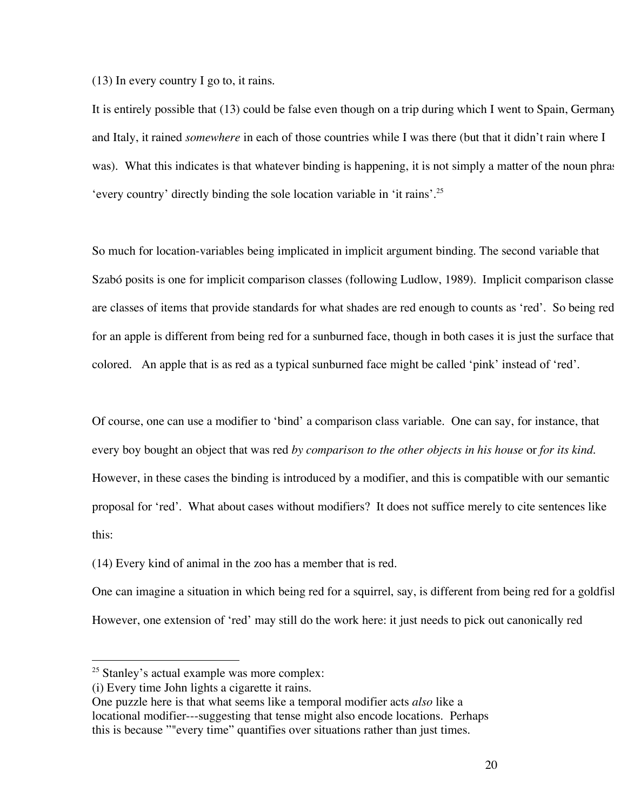(13) In every country I go to, it rains.

It is entirely possible that (13) could be false even though on a trip during which I went to Spain, Germany and Italy, it rained *somewhere* in each of those countries while I was there (but that it didn't rain where I was). What this indicates is that whatever binding is happening, it is not simply a matter of the noun phrase 'every country' directly binding the sole location variable in 'it rains'. 25

So much for location-variables being implicated in implicit argument binding. The second variable that Szabó posits is one for implicit comparison classes (following Ludlow, 1989). Implicit comparison classe are classes of items that provide standards for what shades are red enough to counts as 'red'. So being red for an apple is different from being red for a sunburned face, though in both cases it is just the surface that colored. An apple that is as red as a typical sunburned face might be called 'pink' instead of 'red'.

Of course, one can use a modifier to 'bind' a comparison class variable. One can say, for instance, that every boy bought an object that was red *by comparison to the other objects in his house* or *for its kind*. However, in these cases the binding is introduced by a modifier, and this is compatible with our semantic proposal for 'red'. What about cases without modifiers? It does not suffice merely to cite sentences like this:

(14) Every kind of animal in the zoo has a member that is red.

One can imagine a situation in which being red for a squirrel, say, is different from being red for a goldfish. However, one extension of 'red' may still do the work here: it just needs to pick out canonically red

<sup>&</sup>lt;sup>25</sup> Stanley's actual example was more complex:

<sup>(</sup>i) Every time John lights a cigarette it rains.

One puzzle here is that what seems like a temporal modifier acts *also* like a locational modifier---suggesting that tense might also encode locations. Perhaps this is because ""every time" quantifies over situations rather than just times.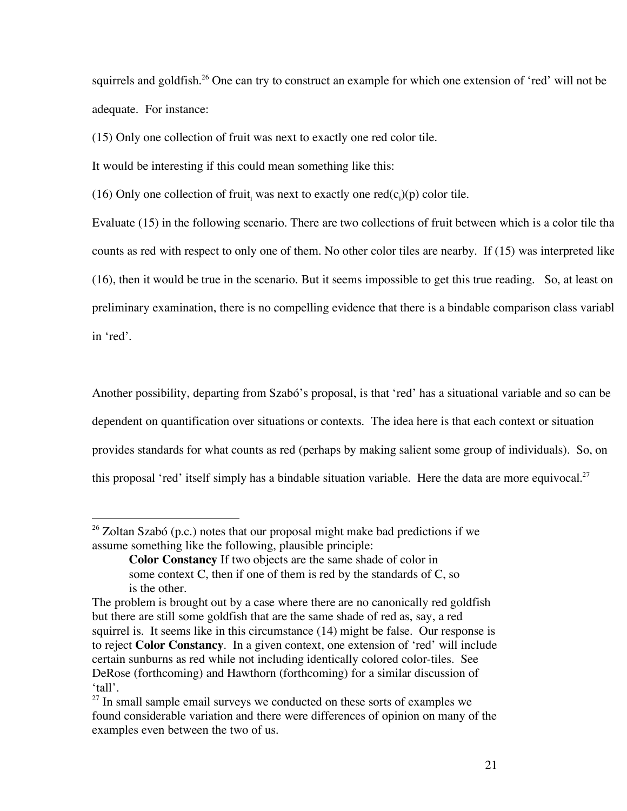squirrels and goldfish.<sup>26</sup> One can try to construct an example for which one extension of 'red' will not be adequate. For instance:

(15) Only one collection of fruit was next to exactly one red color tile.

It would be interesting if this could mean something like this:

(16) Only one collection of fruit, was next to exactly one red(c<sub>i</sub>)(p) color tile.

Evaluate (15) in the following scenario. There are two collections of fruit between which is a color tile tha counts as red with respect to only one of them. No other color tiles are nearby. If (15) was interpreted like (16), then it would be true in the scenario. But it seems impossible to get this true reading. So, at least on a preliminary examination, there is no compelling evidence that there is a bindable comparison class variabl in 'red'.

Another possibility, departing from Szabó's proposal, is that 'red' has a situational variable and so can be dependent on quantification over situations or contexts. The idea here is that each context or situation provides standards for what counts as red (perhaps by making salient some group of individuals). So, on this proposal 'red' itself simply has a bindable situation variable. Here the data are more equivocal.<sup>27</sup>

 $26$  Zoltan Szabó (p.c.) notes that our proposal might make bad predictions if we assume something like the following, plausible principle:

**Color Constancy** If two objects are the same shade of color in some context C, then if one of them is red by the standards of C, so is the other.

The problem is brought out by a case where there are no canonically red goldfish but there are still some goldfish that are the same shade of red as, say, a red squirrel is. It seems like in this circumstance (14) might be false. Our response is to reject **Color Constancy**. In a given context, one extension of 'red' will include certain sunburns as red while not including identically colored color-tiles. See DeRose (forthcoming) and Hawthorn (forthcoming) for a similar discussion of 'tall'.

 $27$  In small sample email surveys we conducted on these sorts of examples we found considerable variation and there were differences of opinion on many of the examples even between the two of us.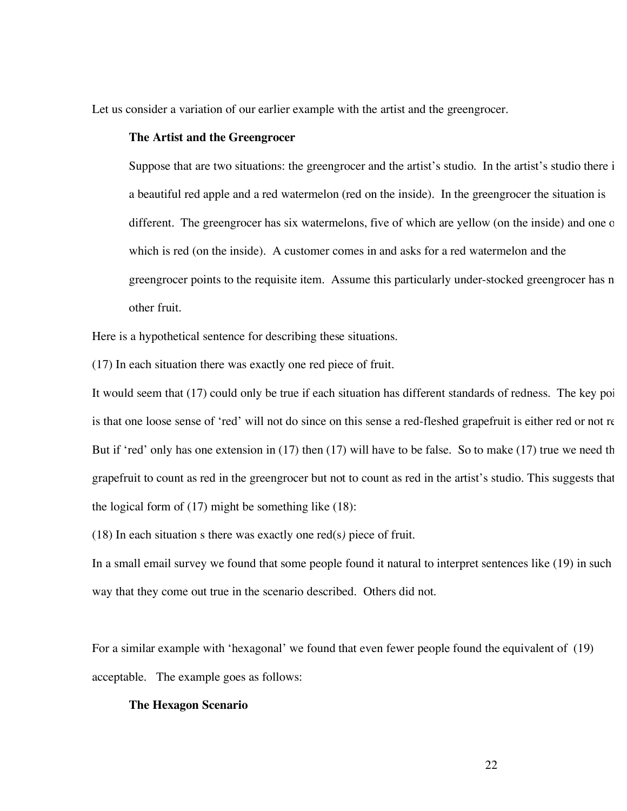Let us consider a variation of our earlier example with the artist and the greengrocer.

### **The Artist and the Greengrocer**

Suppose that are two situations: the greengrocer and the artist's studio. In the artist's studio there i a beautiful red apple and a red watermelon (red on the inside). In the greengrocer the situation is different. The greengrocer has six watermelons, five of which are yellow (on the inside) and one of which is red (on the inside). A customer comes in and asks for a red watermelon and the greengrocer points to the requisite item. Assume this particularly under-stocked greengrocer has n other fruit.

Here is a hypothetical sentence for describing these situations.

(17) In each situation there was exactly one red piece of fruit.

It would seem that  $(17)$  could only be true if each situation has different standards of redness. The key poi is that one loose sense of 'red' will not do since on this sense a red-fleshed grapefruit is either red or not re But if 'red' only has one extension in  $(17)$  then  $(17)$  will have to be false. So to make  $(17)$  true we need the grapefruit to count as red in the greengrocer but not to count as red in the artist's studio. This suggests that the logical form of (17) might be something like (18):

(18) In each situation s there was exactly one red(s*)* piece of fruit.

In a small email survey we found that some people found it natural to interpret sentences like (19) in such way that they come out true in the scenario described. Others did not.

For a similar example with 'hexagonal' we found that even fewer people found the equivalent of (19) acceptable. The example goes as follows:

# **The Hexagon Scenario**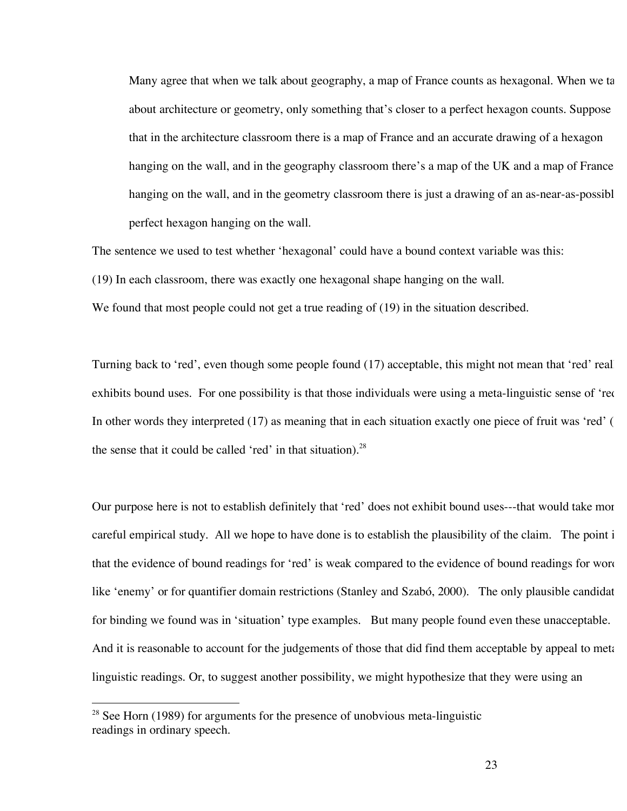Many agree that when we talk about geography, a map of France counts as hexagonal. When we ta about architecture or geometry, only something that's closer to a perfect hexagon counts. Suppose that in the architecture classroom there is a map of France and an accurate drawing of a hexagon hanging on the wall, and in the geography classroom there's a map of the UK and a map of France hanging on the wall, and in the geometry classroom there is just a drawing of an as-near-as-possibl perfect hexagon hanging on the wall.

The sentence we used to test whether 'hexagonal' could have a bound context variable was this:

(19) In each classroom, there was exactly one hexagonal shape hanging on the wall.

We found that most people could not get a true reading of (19) in the situation described.

Turning back to 'red', even though some people found (17) acceptable, this might not mean that 'red' real exhibits bound uses. For one possibility is that those individuals were using a meta-linguistic sense of 'rede In other words they interpreted  $(17)$  as meaning that in each situation exactly one piece of fruit was 'red' ( $\theta$ the sense that it could be called 'red' in that situation).<sup>28</sup>

Our purpose here is not to establish definitely that 'red' does not exhibit bound uses---that would take more careful empirical study. All we hope to have done is to establish the plausibility of the claim. The point is that the evidence of bound readings for 'red' is weak compared to the evidence of bound readings for words like 'enemy' or for quantifier domain restrictions (Stanley and Szabó, 2000). The only plausible candidat for binding we found was in 'situation' type examples. But many people found even these unacceptable. And it is reasonable to account for the judgements of those that did find them acceptable by appeal to metalinguistic readings. Or, to suggest another possibility, we might hypothesize that they were using an

 $28$  See Horn (1989) for arguments for the presence of unobvious meta-linguistic readings in ordinary speech.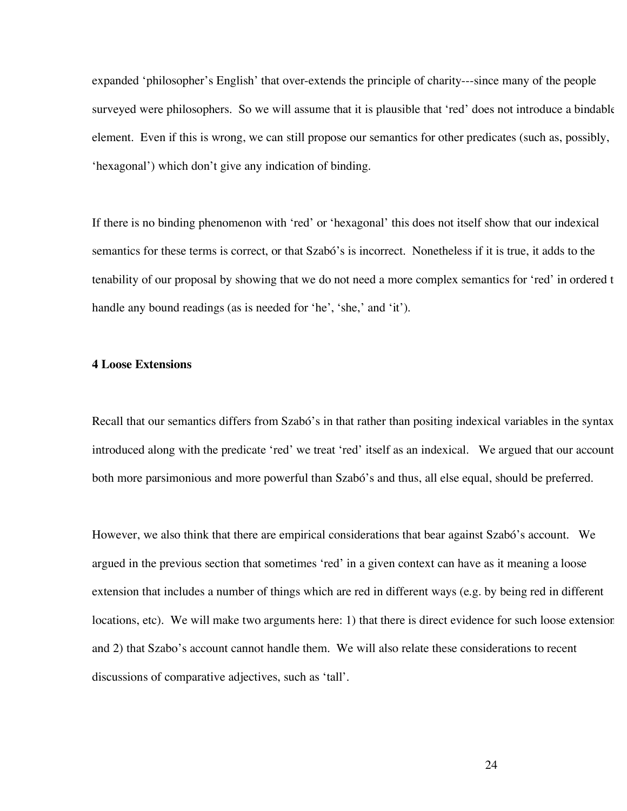expanded 'philosopher's English' that over-extends the principle of charity---since many of the people surveyed were philosophers. So we will assume that it is plausible that 'red' does not introduce a bindable element. Even if this is wrong, we can still propose our semantics for other predicates (such as, possibly, 'hexagonal') which don't give any indication of binding.

If there is no binding phenomenon with 'red' or 'hexagonal' this does not itself show that our indexical semantics for these terms is correct, or that Szabó's is incorrect. Nonetheless if it is true, it adds to the tenability of our proposal by showing that we do not need a more complex semantics for 'red' in ordered t handle any bound readings (as is needed for 'he', 'she,' and 'it').

### **4 Loose Extensions**

Recall that our semantics differs from Szabó's in that rather than positing indexical variables in the syntax introduced along with the predicate 'red' we treat 'red' itself as an indexical. We argued that our account both more parsimonious and more powerful than Szabó's and thus, all else equal, should be preferred.

However, we also think that there are empirical considerations that bear against Szabó's account. We argued in the previous section that sometimes 'red' in a given context can have as it meaning a loose extension that includes a number of things which are red in different ways (e.g. by being red in different locations, etc). We will make two arguments here: 1) that there is direct evidence for such loose extension and 2) that Szabo's account cannot handle them. We will also relate these considerations to recent discussions of comparative adjectives, such as 'tall'.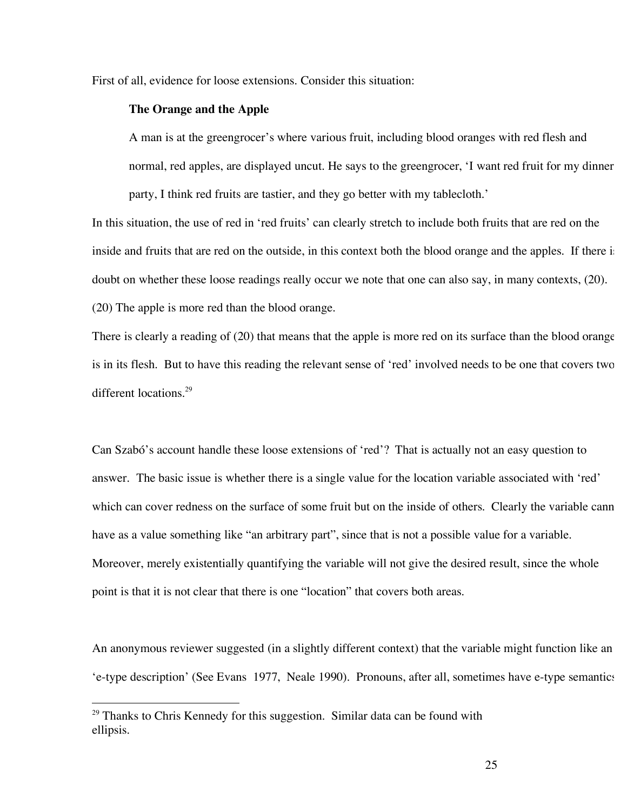First of all, evidence for loose extensions. Consider this situation:

## **The Orange and the Apple**

A man is at the greengrocer's where various fruit, including blood oranges with red flesh and normal, red apples, are displayed uncut. He says to the greengrocer, 'I want red fruit for my dinner party, I think red fruits are tastier, and they go better with my tablecloth.'

In this situation, the use of red in 'red fruits' can clearly stretch to include both fruits that are red on the inside and fruits that are red on the outside, in this context both the blood orange and the apples. If there is doubt on whether these loose readings really occur we note that one can also say, in many contexts, (20). (20) The apple is more red than the blood orange.

There is clearly a reading of (20) that means that the apple is more red on its surface than the blood orange is in its flesh. But to have this reading the relevant sense of 'red' involved needs to be one that covers two different locations.<sup>29</sup>

Can Szabó's account handle these loose extensions of 'red'? That is actually not an easy question to answer. The basic issue is whether there is a single value for the location variable associated with 'red' which can cover redness on the surface of some fruit but on the inside of others. Clearly the variable cann have as a value something like "an arbitrary part", since that is not a possible value for a variable. Moreover, merely existentially quantifying the variable will not give the desired result, since the whole point is that it is not clear that there is one "location" that covers both areas.

An anonymous reviewer suggested (in a slightly different context) that the variable might function like an 'e-type description' (See Evans 1977, Neale 1990). Pronouns, after all, sometimes have e-type semantics,

<sup>&</sup>lt;sup>29</sup> Thanks to Chris Kennedy for this suggestion. Similar data can be found with ellipsis.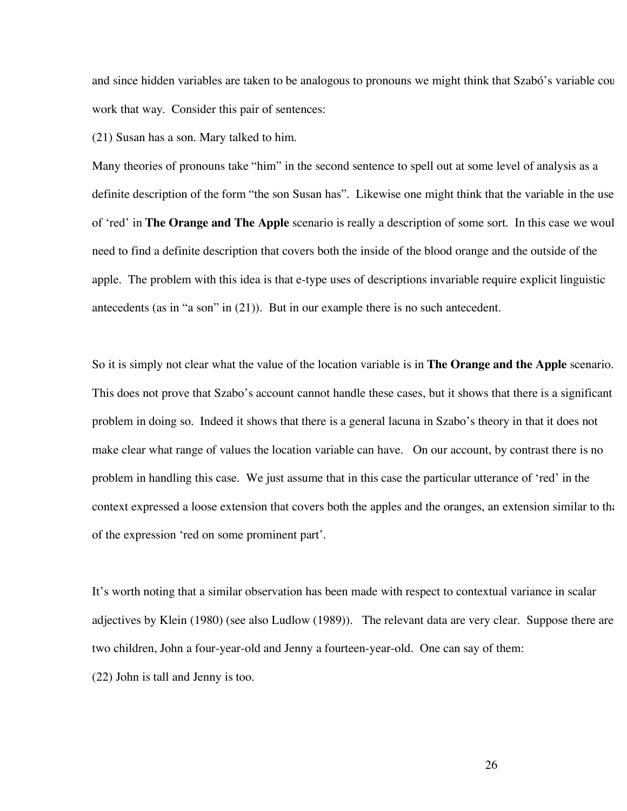and since hidden variables are taken to be analogous to pronouns we might think that Szabó's variable cou work that way. Consider this pair of sentences:

(21) Susan has a son. Mary talked to him.

Many theories of pronouns take "him" in the second sentence to spell out at some level of analysis as a definite description of the form "the son Susan has". Likewise one might think that the variable in the use of 'red' in **The Orange and The Apple** scenario is really a description of some sort. In this case we would need to find a definite description that covers both the inside of the blood orange and the outside of the apple. The problem with this idea is that e-type uses of descriptions invariable require explicit linguistic antecedents (as in "a son" in (21)). But in our example there is no such antecedent.

So it is simply not clear what the value of the location variable is in **The Orange and the Apple** scenario. This does not prove that Szabo's account cannot handle these cases, but it shows that there is a significant problem in doing so. Indeed it shows that there is a general lacuna in Szabo's theory in that it does not make clear what range of values the location variable can have. On our account, by contrast there is no problem in handling this case. We just assume that in this case the particular utterance of 'red' in the context expressed a loose extension that covers both the apples and the oranges, an extension similar to that of the expression 'red on some prominent part'.

It's worth noting that a similar observation has been made with respect to contextual variance in scalar adjectives by Klein (1980) (see also Ludlow (1989)). The relevant data are very clear. Suppose there are two children, John a four-year-old and Jenny a fourteen-year-old. One can say of them: (22) John is tall and Jenny is too.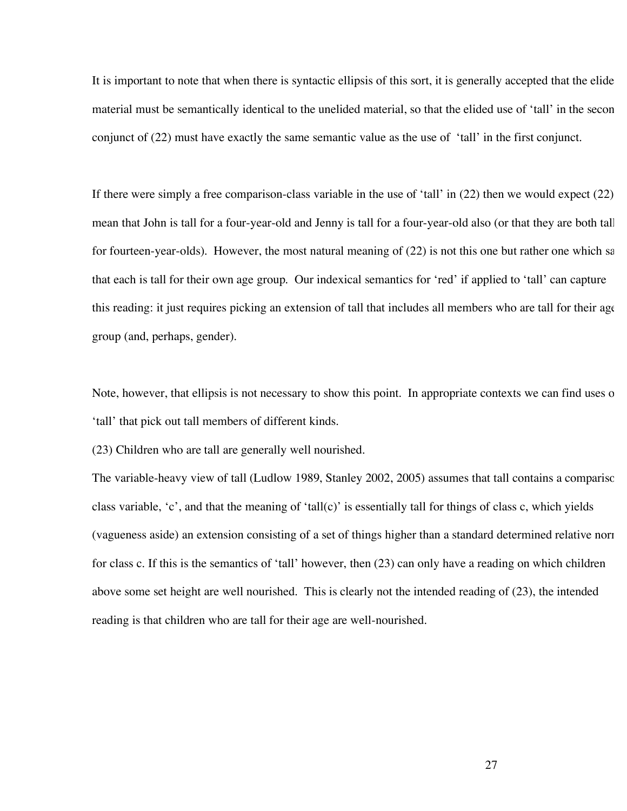It is important to note that when there is syntactic ellipsis of this sort, it is generally accepted that the elide material must be semantically identical to the unelided material, so that the elided use of 'tall' in the secon conjunct of (22) must have exactly the same semantic value as the use of 'tall' in the first conjunct.

If there were simply a free comparison-class variable in the use of 'tall' in  $(22)$  then we would expect  $(22)$ mean that John is tall for a four-year-old and Jenny is tall for a four-year-old also (or that they are both tall for fourteen-year-olds). However, the most natural meaning of (22) is not this one but rather one which say that each is tall for their own age group. Our indexical semantics for 'red' if applied to 'tall' can capture this reading: it just requires picking an extension of tall that includes all members who are tall for their age group (and, perhaps, gender).

Note, however, that ellipsis is not necessary to show this point. In appropriate contexts we can find uses of 'tall' that pick out tall members of different kinds.

(23) Children who are tall are generally well nourished.

The variable-heavy view of tall (Ludlow 1989, Stanley 2002, 2005) assumes that tall contains a comparison class variable, 'c', and that the meaning of 'tall(c)' is essentially tall for things of class c, which yields (vagueness aside) an extension consisting of a set of things higher than a standard determined relative norms for class c. If this is the semantics of 'tall' however, then (23) can only have a reading on which children above some set height are well nourished. This is clearly not the intended reading of (23), the intended reading is that children who are tall for their age are well-nourished.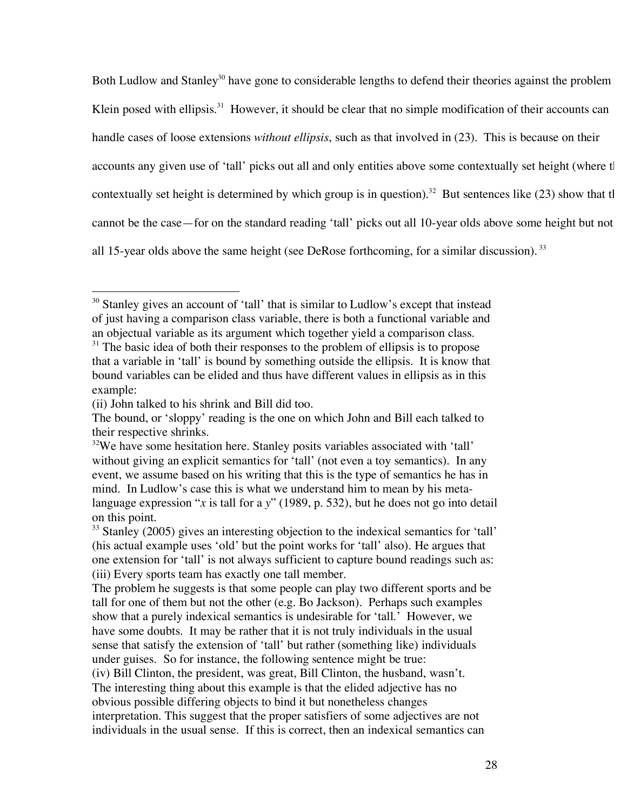Both Ludlow and Stanley<sup>30</sup> have gone to considerable lengths to defend their theories against the problem Klein posed with ellipsis.<sup>31</sup> However, it should be clear that no simple modification of their accounts can handle cases of loose extensions *without ellipsis*, such as that involved in (23). This is because on their accounts any given use of 'tall' picks out all and only entities above some contextually set height (where the contextually set height is determined by which group is in question).<sup>32</sup> But sentences like (23) show that the cannot be the case—for on the standard reading 'tall' picks out all 10-year olds above some height but not all 15-year olds above the same height (see DeRose forthcoming, for a similar discussion).  $33$ 

<sup>&</sup>lt;sup>30</sup> Stanley gives an account of 'tall' that is similar to Ludlow's except that instead of just having a comparison class variable, there is both a functional variable and an objectual variable as its argument which together yield a comparison class.

 $31$  The basic idea of both their responses to the problem of ellipsis is to propose that a variable in 'tall' is bound by something outside the ellipsis. It is know that bound variables can be elided and thus have different values in ellipsis as in this example:

<sup>(</sup>ii) John talked to his shrink and Bill did too.

The bound, or 'sloppy' reading is the one on which John and Bill each talked to their respective shrinks.

 $32$ We have some hesitation here. Stanley posits variables associated with 'tall' without giving an explicit semantics for 'tall' (not even a toy semantics). In any event, we assume based on his writing that this is the type of semantics he has in mind. In Ludlow's case this is what we understand him to mean by his metalanguage expression "*x* is tall for a *y*" (1989, p. 532), but he does not go into detail on this point.

 $33$  Stanley (2005) gives an interesting objection to the indexical semantics for 'tall' (his actual example uses 'old' but the point works for 'tall' also). He argues that one extension for 'tall' is not always sufficient to capture bound readings such as: (iii) Every sports team has exactly one tall member.

The problem he suggests is that some people can play two different sports and be tall for one of them but not the other (e.g. Bo Jackson). Perhaps such examples show that a purely indexical semantics is undesirable for 'tall.' However, we have some doubts. It may be rather that it is not truly individuals in the usual sense that satisfy the extension of 'tall' but rather (something like) individuals under guises. So for instance, the following sentence might be true:

<sup>(</sup>iv) Bill Clinton, the president, was great, Bill Clinton, the husband, wasn't. The interesting thing about this example is that the elided adjective has no obvious possible differing objects to bind it but nonetheless changes interpretation. This suggest that the proper satisfiers of some adjectives are not individuals in the usual sense. If this is correct, then an indexical semantics can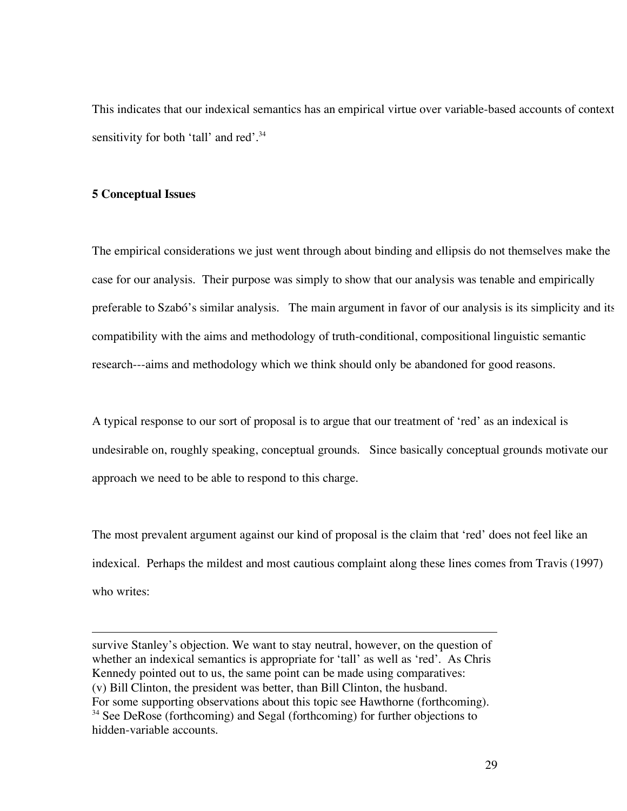This indicates that our indexical semantics has an empirical virtue over variable-based accounts of context sensitivity for both 'tall' and red'.<sup>34</sup>

### **5 Conceptual Issues**

 $\overline{a}$ 

The empirical considerations we just went through about binding and ellipsis do not themselves make the case for our analysis. Their purpose was simply to show that our analysis was tenable and empirically preferable to Szabó's similar analysis. The main argument in favor of our analysis is its simplicity and its compatibility with the aims and methodology of truth-conditional, compositional linguistic semantic research---aims and methodology which we think should only be abandoned for good reasons.

A typical response to our sort of proposal is to argue that our treatment of 'red' as an indexical is undesirable on, roughly speaking, conceptual grounds. Since basically conceptual grounds motivate our approach we need to be able to respond to this charge.

The most prevalent argument against our kind of proposal is the claim that 'red' does not feel like an indexical. Perhaps the mildest and most cautious complaint along these lines comes from Travis (1997) who writes:

For some supporting observations about this topic see Hawthorne (forthcoming).

survive Stanley's objection. We want to stay neutral, however, on the question of whether an indexical semantics is appropriate for 'tall' as well as 'red'. As Chris Kennedy pointed out to us, the same point can be made using comparatives: (v) Bill Clinton, the president was better, than Bill Clinton, the husband.

<sup>&</sup>lt;sup>34</sup> See DeRose (forthcoming) and Segal (forthcoming) for further objections to hidden-variable accounts.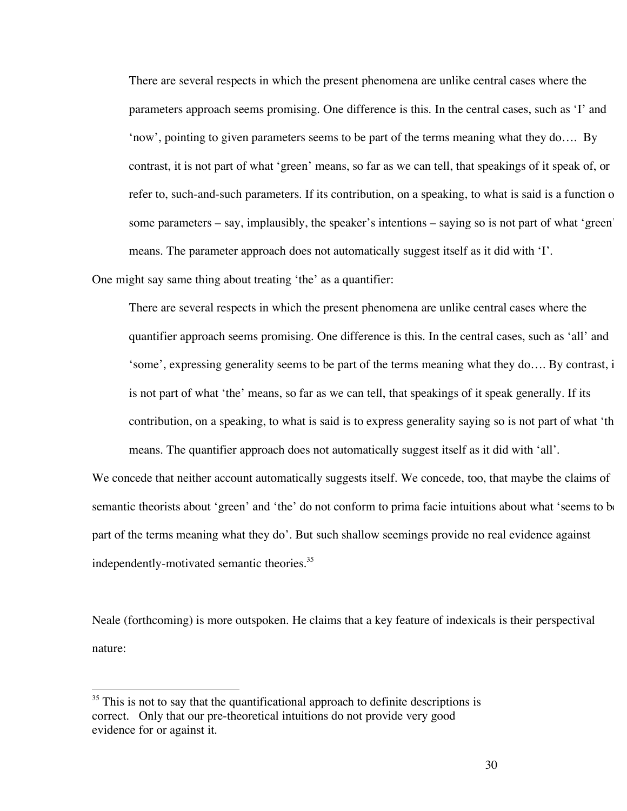There are several respects in which the present phenomena are unlike central cases where the parameters approach seems promising. One difference is this. In the central cases, such as 'I' and 'now', pointing to given parameters seems to be part of the terms meaning what they do…. By contrast, it is not part of what 'green' means, so far as we can tell, that speakings of it speak of, or refer to, such-and-such parameters. If its contribution, on a speaking, to what is said is a function of some parameters – say, implausibly, the speaker's intentions – saying so is not part of what 'green' means. The parameter approach does not automatically suggest itself as it did with 'I'.

One might say same thing about treating 'the' as a quantifier:

There are several respects in which the present phenomena are unlike central cases where the quantifier approach seems promising. One difference is this. In the central cases, such as 'all' and 'some', expressing generality seems to be part of the terms meaning what they do.... By contrast, i is not part of what 'the' means, so far as we can tell, that speakings of it speak generally. If its contribution, on a speaking, to what is said is to express generality saying so is not part of what 'the means. The quantifier approach does not automatically suggest itself as it did with 'all'.

We concede that neither account automatically suggests itself. We concede, too, that maybe the claims of semantic theorists about 'green' and 'the' do not conform to prima facie intuitions about what 'seems to be part of the terms meaning what they do'. But such shallow seemings provide no real evidence against independently-motivated semantic theories. 35

Neale (forthcoming) is more outspoken. He claims that a key feature of indexicals is their perspectival nature:

 $35$  This is not to say that the quantificational approach to definite descriptions is correct. Only that our pre-theoretical intuitions do not provide very good evidence for or against it.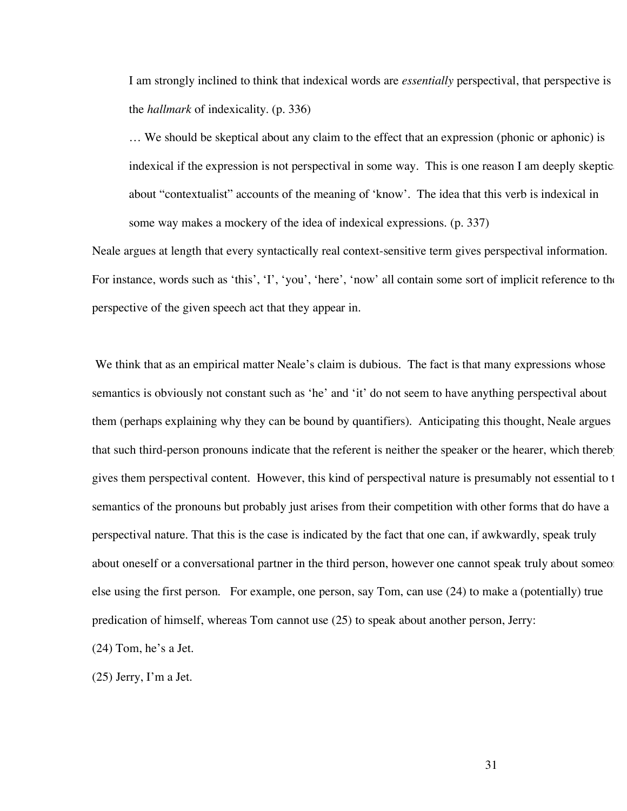I am strongly inclined to think that indexical words are *essentially* perspectival, that perspective is the *hallmark* of indexicality. (p. 336)

… We should be skeptical about any claim to the effect that an expression (phonic or aphonic) is indexical if the expression is not perspectival in some way. This is one reason I am deeply skeptically about "contextualist" accounts of the meaning of 'know'. The idea that this verb is indexical in some way makes a mockery of the idea of indexical expressions. (p. 337)

Neale argues at length that every syntactically real context-sensitive term gives perspectival information. For instance, words such as 'this', 'I', 'you', 'here', 'now' all contain some sort of implicit reference to the perspective of the given speech act that they appear in.

We think that as an empirical matter Neale's claim is dubious. The fact is that many expressions whose semantics is obviously not constant such as 'he' and 'it' do not seem to have anything perspectival about them (perhaps explaining why they can be bound by quantifiers). Anticipating this thought, Neale argues that such third-person pronouns indicate that the referent is neither the speaker or the hearer, which thereby gives them perspectival content. However, this kind of perspectival nature is presumably not essential to t semantics of the pronouns but probably just arises from their competition with other forms that do have a perspectival nature. That this is the case is indicated by the fact that one can, if awkwardly, speak truly about oneself or a conversational partner in the third person, however one cannot speak truly about someoners else using the first person. For example, one person, say Tom, can use (24) to make a (potentially) true predication of himself, whereas Tom cannot use (25) to speak about another person, Jerry:

(24) Tom, he's a Jet.

(25) Jerry, I'm a Jet.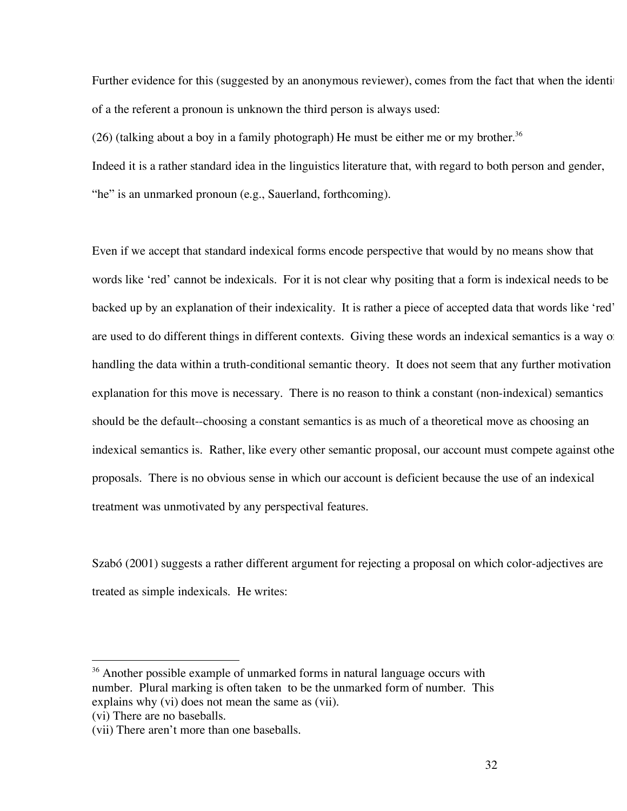Further evidence for this (suggested by an anonymous reviewer), comes from the fact that when the identity of a the referent a pronoun is unknown the third person is always used:

(26) (talking about a boy in a family photograph) He must be either me or my brother.<sup>36</sup>

Indeed it is a rather standard idea in the linguistics literature that, with regard to both person and gender, "he" is an unmarked pronoun (e.g., Sauerland, forthcoming).

Even if we accept that standard indexical forms encode perspective that would by no means show that words like 'red' cannot be indexicals. For it is not clear why positing that a form is indexical needs to be backed up by an explanation of their indexicality. It is rather a piece of accepted data that words like 'red' are used to do different things in different contexts. Giving these words an indexical semantics is a way of handling the data within a truth-conditional semantic theory. It does not seem that any further motivation explanation for this move is necessary. There is no reason to think a constant (non-indexical) semantics should be the default--choosing a constant semantics is as much of a theoretical move as choosing an indexical semantics is. Rather, like every other semantic proposal, our account must compete against othe proposals. There is no obvious sense in which our account is deficient because the use of an indexical treatment was unmotivated by any perspectival features.

Szabó (2001) suggests a rather different argument for rejecting a proposal on which color-adjectives are treated as simple indexicals. He writes:

<sup>&</sup>lt;sup>36</sup> Another possible example of unmarked forms in natural language occurs with number. Plural marking is often taken to be the unmarked form of number. This explains why (vi) does not mean the same as (vii).

<sup>(</sup>vi) There are no baseballs.

<sup>(</sup>vii) There aren't more than one baseballs.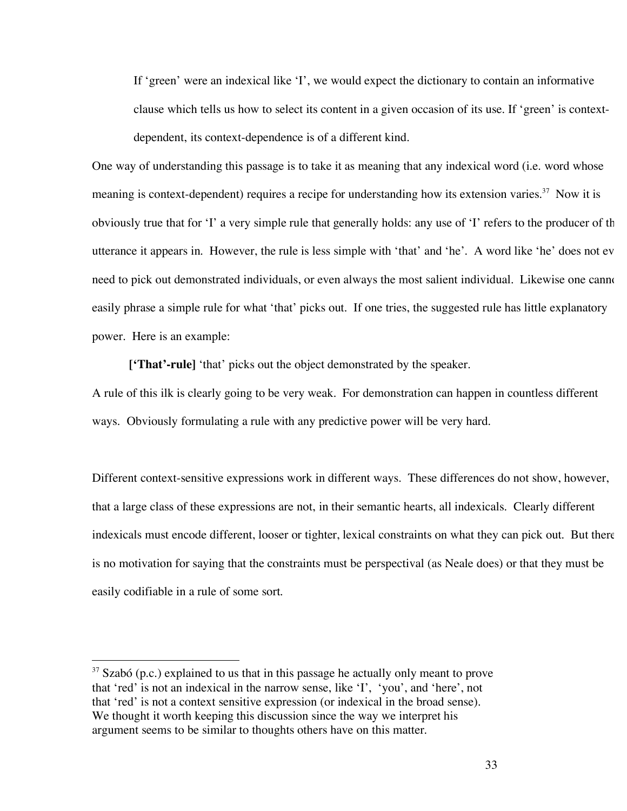If 'green' were an indexical like 'I', we would expect the dictionary to contain an informative clause which tells us how to select its content in a given occasion of its use. If 'green' is contextdependent, its context-dependence is of a different kind.

One way of understanding this passage is to take it as meaning that any indexical word (i.e. word whose meaning is context-dependent) requires a recipe for understanding how its extension varies.<sup>37</sup> Now it is obviously true that for 'I' a very simple rule that generally holds: any use of 'I' refers to the producer of the utterance it appears in. However, the rule is less simple with 'that' and 'he'. A word like 'he' does not ev need to pick out demonstrated individuals, or even always the most salient individual. Likewise one cannot easily phrase a simple rule for what 'that' picks out. If one tries, the suggested rule has little explanatory power. Here is an example:

**['That'-rule]** 'that' picks out the object demonstrated by the speaker.

A rule of this ilk is clearly going to be very weak. For demonstration can happen in countless different ways. Obviously formulating a rule with any predictive power will be very hard.

Different context-sensitive expressions work in different ways. These differences do not show, however, that a large class of these expressions are not, in their semantic hearts, all indexicals. Clearly different indexicals must encode different, looser or tighter, lexical constraints on what they can pick out. But there is no motivation for saying that the constraints must be perspectival (as Neale does) or that they must be easily codifiable in a rule of some sort.

 $37$  Szabó (p.c.) explained to us that in this passage he actually only meant to prove that 'red' is not an indexical in the narrow sense, like 'I', 'you', and 'here', not that 'red' is not a context sensitive expression (or indexical in the broad sense). We thought it worth keeping this discussion since the way we interpret his argument seems to be similar to thoughts others have on this matter.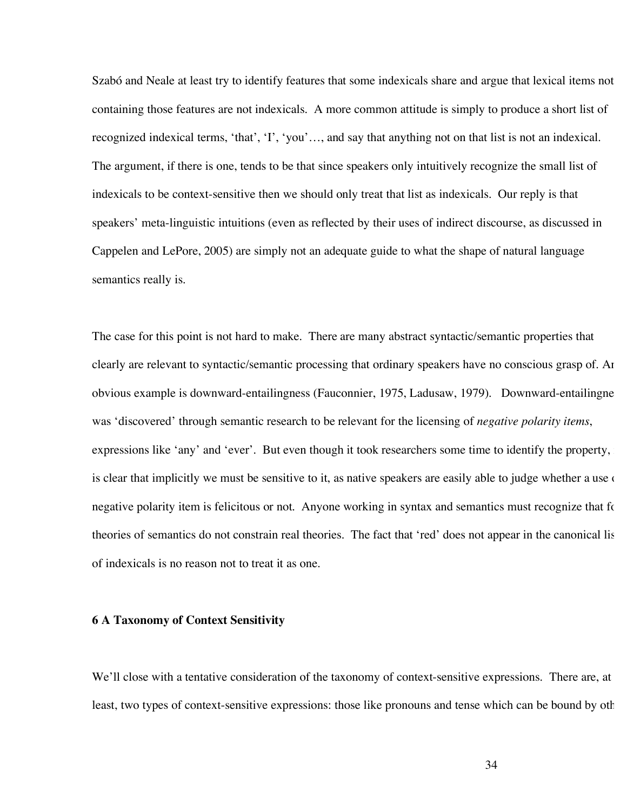Szabó and Neale at least try to identify features that some indexicals share and argue that lexical items not containing those features are not indexicals. A more common attitude is simply to produce a short list of recognized indexical terms, 'that', 'I', 'you'…, and say that anything not on that list is not an indexical. The argument, if there is one, tends to be that since speakers only intuitively recognize the small list of indexicals to be context-sensitive then we should only treat that list as indexicals. Our reply is that speakers' meta-linguistic intuitions (even as reflected by their uses of indirect discourse, as discussed in Cappelen and LePore, 2005) are simply not an adequate guide to what the shape of natural language semantics really is.

The case for this point is not hard to make. There are many abstract syntactic/semantic properties that clearly are relevant to syntactic/semantic processing that ordinary speakers have no conscious grasp of. An obvious example is downward-entailingness (Fauconnier, 1975, Ladusaw, 1979). Downward-entailingne was 'discovered' through semantic research to be relevant for the licensing of *negative polarity items*, expressions like 'any' and 'ever'. But even though it took researchers some time to identify the property, is clear that implicitly we must be sensitive to it, as native speakers are easily able to judge whether a use negative polarity item is felicitous or not. Anyone working in syntax and semantics must recognize that for theories of semantics do not constrain real theories. The fact that 'red' does not appear in the canonical lis of indexicals is no reason not to treat it as one.

## **6 A Taxonomy of Context Sensitivity**

We'll close with a tentative consideration of the taxonomy of context-sensitive expressions. There are, at least, two types of context-sensitive expressions: those like pronouns and tense which can be bound by oth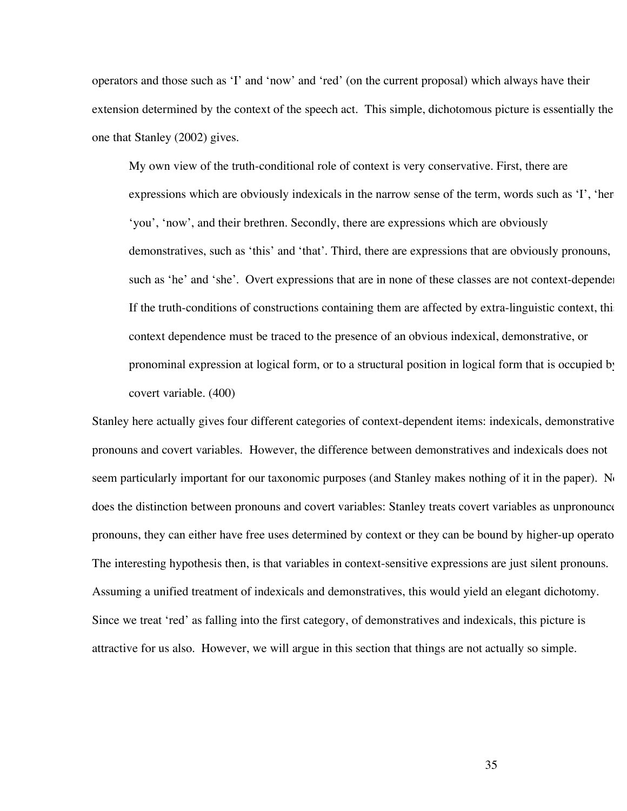operators and those such as 'I' and 'now' and 'red' (on the current proposal) which always have their extension determined by the context of the speech act. This simple, dichotomous picture is essentially the one that Stanley (2002) gives.

My own view of the truth-conditional role of context is very conservative. First, there are expressions which are obviously indexicals in the narrow sense of the term, words such as  $\mathbf{I}'$ , then 'you', 'now', and their brethren. Secondly, there are expressions which are obviously demonstratives, such as 'this' and 'that'. Third, there are expressions that are obviously pronouns, such as 'he' and 'she'. Overt expressions that are in none of these classes are not context-dependent. If the truth-conditions of constructions containing them are affected by extra-linguistic context, this context dependence must be traced to the presence of an obvious indexical, demonstrative, or pronominal expression at logical form, or to a structural position in logical form that is occupied by a covert variable. (400)

Stanley here actually gives four different categories of context-dependent items: indexicals, demonstrative pronouns and covert variables. However, the difference between demonstratives and indexicals does not seem particularly important for our taxonomic purposes (and Stanley makes nothing of it in the paper). No does the distinction between pronouns and covert variables: Stanley treats covert variables as unpronounce pronouns, they can either have free uses determined by context or they can be bound by higher-up operators. The interesting hypothesis then, is that variables in context-sensitive expressions are just silent pronouns. Assuming a unified treatment of indexicals and demonstratives, this would yield an elegant dichotomy. Since we treat 'red' as falling into the first category, of demonstratives and indexicals, this picture is attractive for us also. However, we will argue in this section that things are not actually so simple.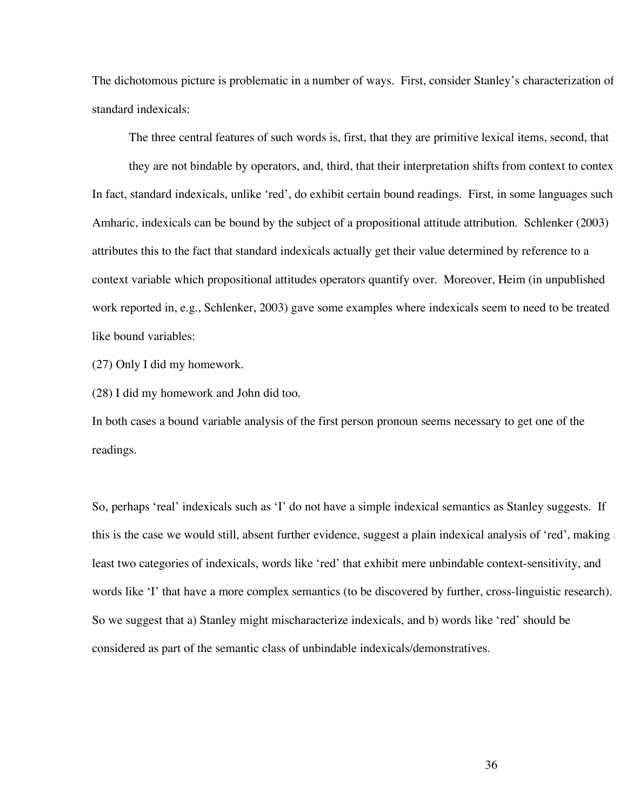The dichotomous picture is problematic in a number of ways. First, consider Stanley's characterization of standard indexicals:

The three central features of such words is, first, that they are primitive lexical items, second, that

they are not bindable by operators, and, third, that their interpretation shifts from context to context In fact, standard indexicals, unlike 'red', do exhibit certain bound readings. First, in some languages such Amharic, indexicals can be bound by the subject of a propositional attitude attribution. Schlenker (2003) attributes this to the fact that standard indexicals actually get their value determined by reference to a context variable which propositional attitudes operators quantify over. Moreover, Heim (in unpublished work reported in, e.g., Schlenker, 2003) gave some examples where indexicals seem to need to be treated like bound variables:

(27) Only I did my homework.

(28) I did my homework and John did too.

In both cases a bound variable analysis of the first person pronoun seems necessary to get one of the readings.

So, perhaps 'real' indexicals such as 'I' do not have a simple indexical semantics as Stanley suggests. If this is the case we would still, absent further evidence, suggest a plain indexical analysis of 'red', making least two categories of indexicals, words like 'red' that exhibit mere unbindable context-sensitivity, and words like 'I' that have a more complex semantics (to be discovered by further, cross-linguistic research). So we suggest that a) Stanley might mischaracterize indexicals, and b) words like 'red' should be considered as part of the semantic class of unbindable indexicals/demonstratives.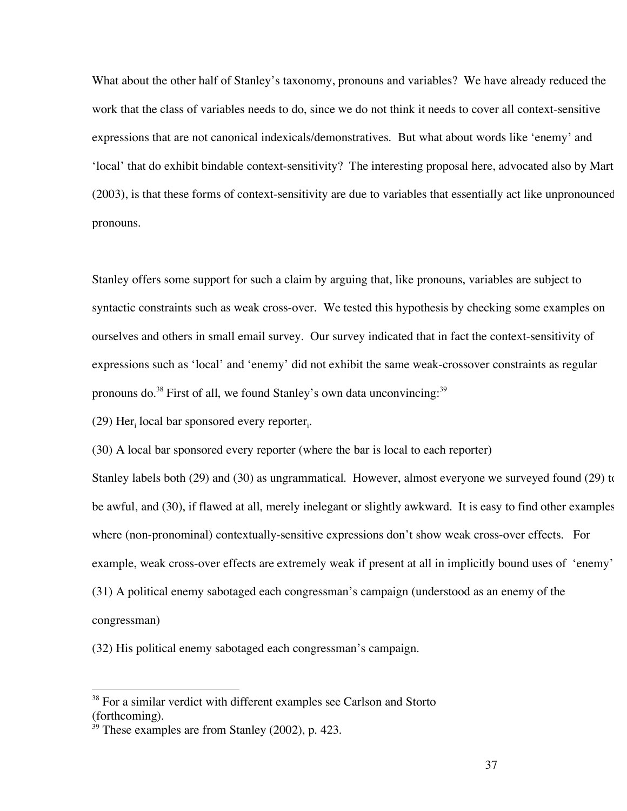What about the other half of Stanley's taxonomy, pronouns and variables? We have already reduced the work that the class of variables needs to do, since we do not think it needs to cover all context-sensitive expressions that are not canonical indexicals/demonstratives. But what about words like 'enemy' and 'local' that do exhibit bindable context-sensitivity? The interesting proposal here, advocated also by Marti (2003), is that these forms of context-sensitivity are due to variables that essentially act like unpronounced pronouns.

Stanley offers some support for such a claim by arguing that, like pronouns, variables are subject to syntactic constraints such as weak cross-over. We tested this hypothesis by checking some examples on ourselves and others in small email survey. Our survey indicated that in fact the context-sensitivity of expressions such as 'local' and 'enemy' did not exhibit the same weak-crossover constraints as regular pronouns do.<sup>38</sup> First of all, we found Stanley's own data unconvincing:<sup>39</sup>

 $(29)$  Her<sub>i</sub> local bar sponsored every reporter<sub>i</sub>.

(30) A local bar sponsored every reporter (where the bar is local to each reporter)

Stanley labels both (29) and (30) as ungrammatical. However, almost everyone we surveyed found (29) to be awful, and (30), if flawed at all, merely inelegant or slightly awkward. It is easy to find other examples where (non-pronominal) contextually-sensitive expressions don't show weak cross-over effects. For example, weak cross-over effects are extremely weak if present at all in implicitly bound uses of 'enemy': (31) A political enemy sabotaged each congressman's campaign (understood as an enemy of the congressman)

(32) His political enemy sabotaged each congressman's campaign.

 $38$  For a similar verdict with different examples see Carlson and Storto (forthcoming).

<sup>&</sup>lt;sup>39</sup> These examples are from Stanley (2002), p. 423.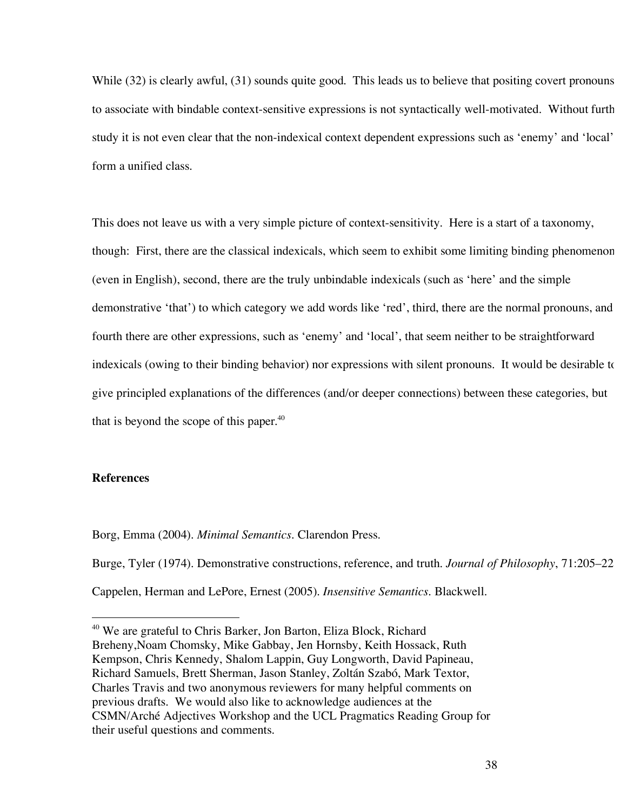While (32) is clearly awful, (31) sounds quite good. This leads us to believe that positing covert pronouns to associate with bindable context-sensitive expressions is not syntactically well-motivated. Without furth study it is not even clear that the non-indexical context dependent expressions such as 'enemy' and 'local' form a unified class.

This does not leave us with a very simple picture of context-sensitivity. Here is a start of a taxonomy, though: First, there are the classical indexicals, which seem to exhibit some limiting binding phenomenon (even in English), second, there are the truly unbindable indexicals (such as 'here' and the simple demonstrative 'that') to which category we add words like 'red', third, there are the normal pronouns, and fourth there are other expressions, such as 'enemy' and 'local', that seem neither to be straightforward indexicals (owing to their binding behavior) nor expressions with silent pronouns. It would be desirable to give principled explanations of the differences (and/or deeper connections) between these categories, but that is beyond the scope of this paper.<sup>40</sup>

# **References**

Borg, Emma (2004). *Minimal Semantics*. Clarendon Press.

Burge, Tyler (1974). Demonstrative constructions, reference, and truth. *Journal of Philosophy*, 71:205–223. Cappelen, Herman and LePore, Ernest (2005). *Insensitive Semantics*. Blackwell.

<sup>&</sup>lt;sup>40</sup> We are grateful to Chris Barker, Jon Barton, Eliza Block, Richard Breheny,Noam Chomsky, Mike Gabbay, Jen Hornsby, Keith Hossack, Ruth Kempson, Chris Kennedy, Shalom Lappin, Guy Longworth, David Papineau, Richard Samuels, Brett Sherman, Jason Stanley, Zoltán Szabó, Mark Textor, Charles Travis and two anonymous reviewers for many helpful comments on previous drafts. We would also like to acknowledge audiences at the CSMN/Arché Adjectives Workshop and the UCL Pragmatics Reading Group for their useful questions and comments.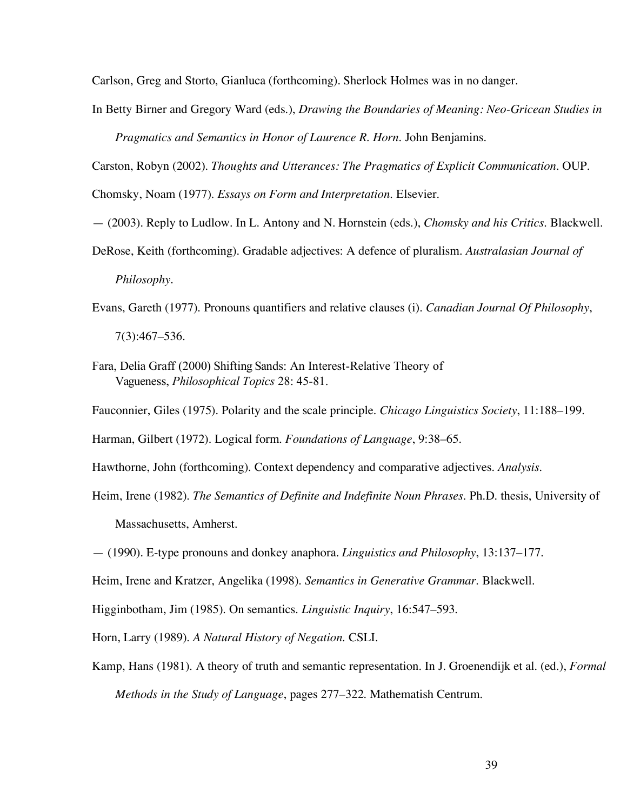Carlson, Greg and Storto, Gianluca (forthcoming). Sherlock Holmes was in no danger.

In Betty Birner and Gregory Ward (eds.), *Drawing the Boundaries of Meaning: Neo-Gricean Studies in* 

*Pragmatics and Semantics in Honor of Laurence R. Horn*. John Benjamins.

Carston, Robyn (2002). *Thoughts and Utterances: The Pragmatics of Explicit Communication*. OUP. Chomsky, Noam (1977). *Essays on Form and Interpretation*. Elsevier.

- (2003). Reply to Ludlow. In L. Antony and N. Hornstein (eds.), *Chomsky and his Critics*. Blackwell.
- DeRose, Keith (forthcoming). Gradable adjectives: A defence of pluralism. *Australasian Journal of Philosophy*.
- Evans, Gareth (1977). Pronouns quantifiers and relative clauses (i). *Canadian Journal Of Philosophy*, 7(3):467–536.
- Fara, Delia Graff (2000) Shifting Sands: An Interest-Relative Theory of Vagueness, *Philosophical Topics* 28: 45-81.
- Fauconnier, Giles (1975). Polarity and the scale principle. *Chicago Linguistics Society*, 11:188–199.

Harman, Gilbert (1972). Logical form. *Foundations of Language*, 9:38–65.

Hawthorne, John (forthcoming). Context dependency and comparative adjectives. *Analysis*.

- Heim, Irene (1982). *The Semantics of Definite and Indefinite Noun Phrases*. Ph.D. thesis, University of Massachusetts, Amherst.
- (1990). E-type pronouns and donkey anaphora. *Linguistics and Philosophy*, 13:137–177.

Heim, Irene and Kratzer, Angelika (1998). *Semantics in Generative Grammar*. Blackwell.

Higginbotham, Jim (1985). On semantics. *Linguistic Inquiry*, 16:547–593.

Horn, Larry (1989). *A Natural History of Negation*. CSLI.

Kamp, Hans (1981). A theory of truth and semantic representation. In J. Groenendijk et al. (ed.), *Formal Methods in the Study of Language*, pages 277–322. Mathematish Centrum.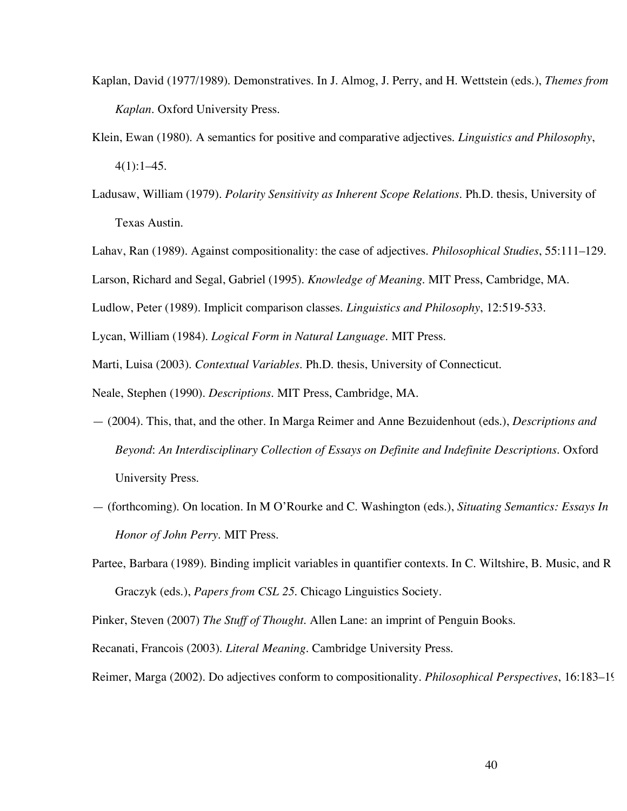- Kaplan, David (1977/1989). Demonstratives. In J. Almog, J. Perry, and H. Wettstein (eds.), *Themes from Kaplan*. Oxford University Press.
- Klein, Ewan (1980). A semantics for positive and comparative adjectives. *Linguistics and Philosophy*,  $4(1):1-45.$
- Ladusaw, William (1979). *Polarity Sensitivity as Inherent Scope Relations*. Ph.D. thesis, University of Texas Austin.
- Lahav, Ran (1989). Against compositionality: the case of adjectives. *Philosophical Studies*, 55:111–129.

Larson, Richard and Segal, Gabriel (1995). *Knowledge of Meaning*. MIT Press, Cambridge, MA.

Ludlow, Peter (1989). Implicit comparison classes. *Linguistics and Philosophy*, 12:519-533.

Lycan, William (1984). *Logical Form in Natural Language*. MIT Press.

Marti, Luisa (2003). *Contextual Variables*. Ph.D. thesis, University of Connecticut.

Neale, Stephen (1990). *Descriptions*. MIT Press, Cambridge, MA.

- (2004). This, that, and the other. In Marga Reimer and Anne Bezuidenhout (eds.), *Descriptions and Beyond*: *An Interdisciplinary Collection of Essays on Definite and Indefinite Descriptions*. Oxford University Press.
- (forthcoming). On location. In M O'Rourke and C. Washington (eds.), *Situating Semantics: Essays In Honor of John Perry*. MIT Press.
- Partee, Barbara (1989). Binding implicit variables in quantifier contexts. In C. Wiltshire, B. Music, and R Graczyk (eds.), *Papers from CSL 25*. Chicago Linguistics Society.

Pinker, Steven (2007) *The Stuff of Thought*. Allen Lane: an imprint of Penguin Books.

Recanati, Francois (2003). *Literal Meaning*. Cambridge University Press.

Reimer, Marga (2002). Do adjectives conform to compositionality. *Philosophical Perspectives*, 16:183–198.